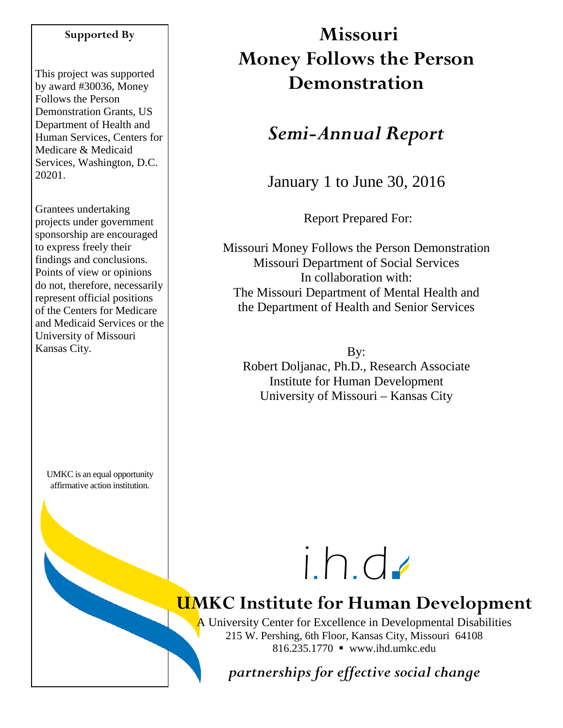#### **Supported By**

This project was supported by award #30036, Money Follows the Person Demonstration Grants, US Department of Health and Human Services, Centers for Medicare & Medicaid Services, Washington, D.C. 20201.

Grantees undertaking projects under government sponsorship are encouraged to express freely their findings and conclusions. Points of view or opinions do not, therefore, necessarily represent official positions of the Centers for Medicare and Medicaid Services or the University of Missouri Kansas City.

UMKC is an equal opportunity affirmative action institution.

# **Missouri Money Follows the Person Demonstration**

# *Semi-Annual Report*

January 1 to June 30, 2016

Report Prepared For:

Missouri Money Follows the Person Demonstration Missouri Department of Social Services In collaboration with: The Missouri Department of Mental Health and the Department of Health and Senior Services

By: Robert Doljanac, Ph.D., Research Associate Institute for Human Development University of Missouri – Kansas City



# **UMKC Institute for Human Development**

A University Center for Excellence in Developmental Disabilities 215 W. Pershing, 6th Floor, Kansas City, Missouri 64108 816.235.1770 www.ihd.umkc.edu

*partnerships for effective social change*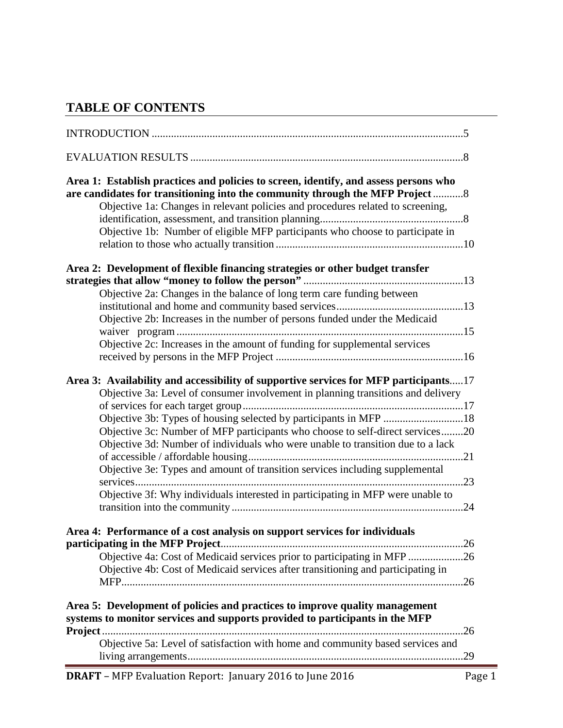## **TABLE OF CONTENTS**

| Area 1: Establish practices and policies to screen, identify, and assess persons who<br>are candidates for transitioning into the community through the MFP Project8<br>Objective 1a: Changes in relevant policies and procedures related to screening,<br>Objective 1b: Number of eligible MFP participants who choose to participate in                                                                                                                                                                                                                                            |
|--------------------------------------------------------------------------------------------------------------------------------------------------------------------------------------------------------------------------------------------------------------------------------------------------------------------------------------------------------------------------------------------------------------------------------------------------------------------------------------------------------------------------------------------------------------------------------------|
| Area 2: Development of flexible financing strategies or other budget transfer<br>Objective 2a: Changes in the balance of long term care funding between<br>Objective 2b: Increases in the number of persons funded under the Medicaid<br>Objective 2c: Increases in the amount of funding for supplemental services                                                                                                                                                                                                                                                                  |
| Area 3: Availability and accessibility of supportive services for MFP participants17<br>Objective 3a: Level of consumer involvement in planning transitions and delivery<br>Objective 3b: Types of housing selected by participants in MFP 18<br>Objective 3c: Number of MFP participants who choose to self-direct services20<br>Objective 3d: Number of individuals who were unable to transition due to a lack<br>Objective 3e: Types and amount of transition services including supplemental<br>Objective 3f: Why individuals interested in participating in MFP were unable to |
| Area 4: Performance of a cost analysis on support services for individuals<br>Objective 4a: Cost of Medicaid services prior to participating in MFP 26<br>Objective 4b: Cost of Medicaid services after transitioning and participating in<br>Area 5: Development of policies and practices to improve quality management<br>systems to monitor services and supports provided to participants in the MFP                                                                                                                                                                            |
| Objective 5a: Level of satisfaction with home and community based services and                                                                                                                                                                                                                                                                                                                                                                                                                                                                                                       |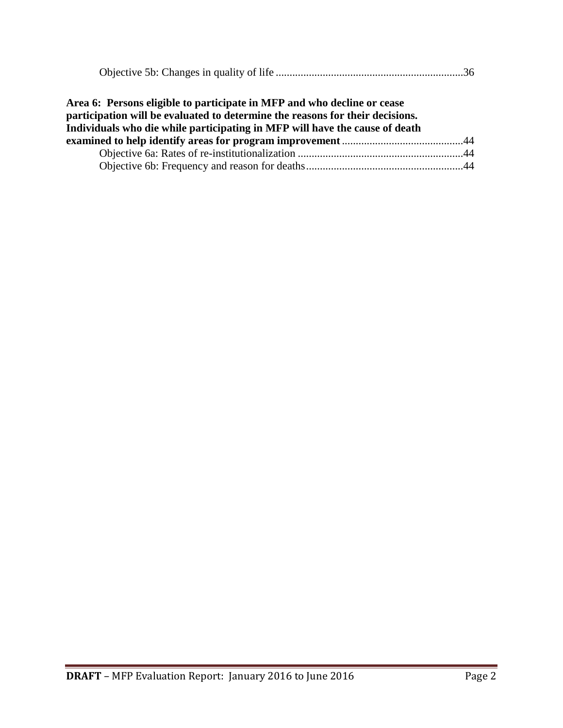|--|

| Area 6: Persons eligible to participate in MFP and who decline or cease<br>participation will be evaluated to determine the reasons for their decisions. |  |
|----------------------------------------------------------------------------------------------------------------------------------------------------------|--|
| Individuals who die while participating in MFP will have the cause of death                                                                              |  |
|                                                                                                                                                          |  |
|                                                                                                                                                          |  |
|                                                                                                                                                          |  |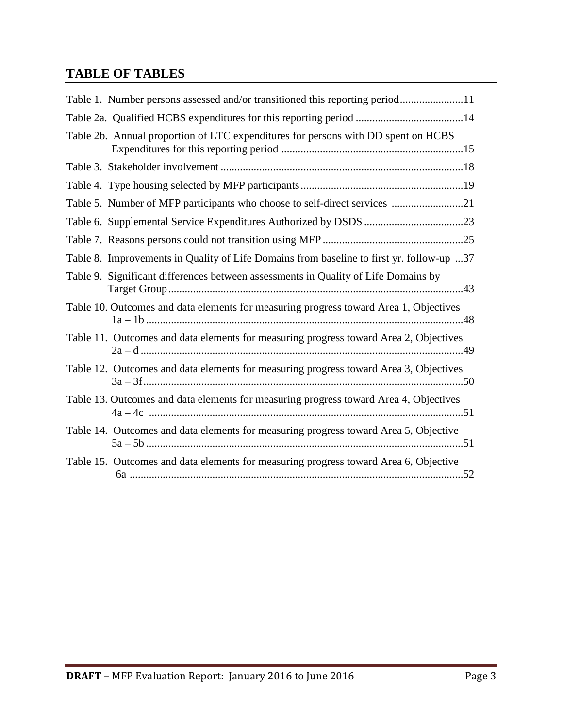# **TABLE OF TABLES**

| Table 1. Number persons assessed and/or transitioned this reporting period11             |
|------------------------------------------------------------------------------------------|
| Table 2a. Qualified HCBS expenditures for this reporting period 14                       |
| Table 2b. Annual proportion of LTC expenditures for persons with DD spent on HCBS        |
|                                                                                          |
|                                                                                          |
| Table 5. Number of MFP participants who choose to self-direct services 21                |
|                                                                                          |
|                                                                                          |
| Table 8. Improvements in Quality of Life Domains from baseline to first yr. follow-up 37 |
| Table 9. Significant differences between assessments in Quality of Life Domains by       |
| Table 10. Outcomes and data elements for measuring progress toward Area 1, Objectives    |
| Table 11. Outcomes and data elements for measuring progress toward Area 2, Objectives    |
| Table 12. Outcomes and data elements for measuring progress toward Area 3, Objectives    |
| Table 13. Outcomes and data elements for measuring progress toward Area 4, Objectives    |
| Table 14. Outcomes and data elements for measuring progress toward Area 5, Objective     |
| Table 15. Outcomes and data elements for measuring progress toward Area 6, Objective     |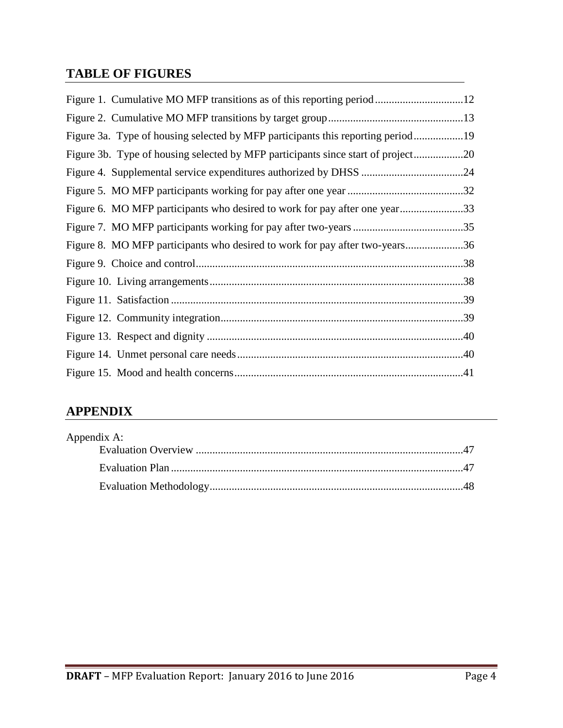## **TABLE OF FIGURES**

| Figure 3a. Type of housing selected by MFP participants this reporting period19  |  |
|----------------------------------------------------------------------------------|--|
| Figure 3b. Type of housing selected by MFP participants since start of project20 |  |
|                                                                                  |  |
|                                                                                  |  |
| Figure 6. MO MFP participants who desired to work for pay after one year33       |  |
|                                                                                  |  |
| Figure 8. MO MFP participants who desired to work for pay after two-years36      |  |
|                                                                                  |  |
|                                                                                  |  |
|                                                                                  |  |
|                                                                                  |  |
|                                                                                  |  |
|                                                                                  |  |
|                                                                                  |  |

# **APPENDIX**

| Appendix A: |  |
|-------------|--|
|             |  |
|             |  |
|             |  |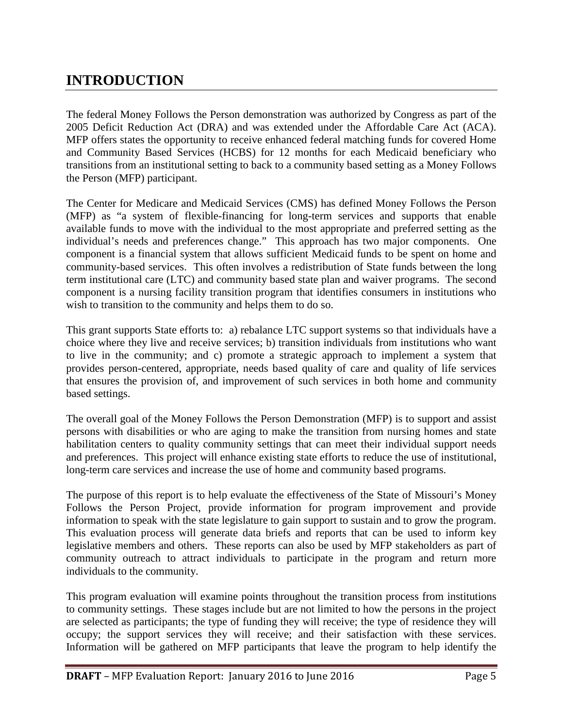# **INTRODUCTION**

The federal Money Follows the Person demonstration was authorized by Congress as part of the 2005 Deficit Reduction Act (DRA) and was extended under the Affordable Care Act (ACA). MFP offers states the opportunity to receive enhanced federal matching funds for covered Home and Community Based Services (HCBS) for 12 months for each Medicaid beneficiary who transitions from an institutional setting to back to a community based setting as a Money Follows the Person (MFP) participant.

The Center for Medicare and Medicaid Services (CMS) has defined Money Follows the Person (MFP) as "a system of flexible-financing for long-term services and supports that enable available funds to move with the individual to the most appropriate and preferred setting as the individual's needs and preferences change." This approach has two major components. One component is a financial system that allows sufficient Medicaid funds to be spent on home and community-based services. This often involves a redistribution of State funds between the long term institutional care (LTC) and community based state plan and waiver programs. The second component is a nursing facility transition program that identifies consumers in institutions who wish to transition to the community and helps them to do so.

This grant supports State efforts to: a) rebalance LTC support systems so that individuals have a choice where they live and receive services; b) transition individuals from institutions who want to live in the community; and c) promote a strategic approach to implement a system that provides person-centered, appropriate, needs based quality of care and quality of life services that ensures the provision of, and improvement of such services in both home and community based settings.

The overall goal of the Money Follows the Person Demonstration (MFP) is to support and assist persons with disabilities or who are aging to make the transition from nursing homes and state habilitation centers to quality community settings that can meet their individual support needs and preferences. This project will enhance existing state efforts to reduce the use of institutional, long-term care services and increase the use of home and community based programs.

The purpose of this report is to help evaluate the effectiveness of the State of Missouri's Money Follows the Person Project, provide information for program improvement and provide information to speak with the state legislature to gain support to sustain and to grow the program. This evaluation process will generate data briefs and reports that can be used to inform key legislative members and others. These reports can also be used by MFP stakeholders as part of community outreach to attract individuals to participate in the program and return more individuals to the community.

This program evaluation will examine points throughout the transition process from institutions to community settings. These stages include but are not limited to how the persons in the project are selected as participants; the type of funding they will receive; the type of residence they will occupy; the support services they will receive; and their satisfaction with these services. Information will be gathered on MFP participants that leave the program to help identify the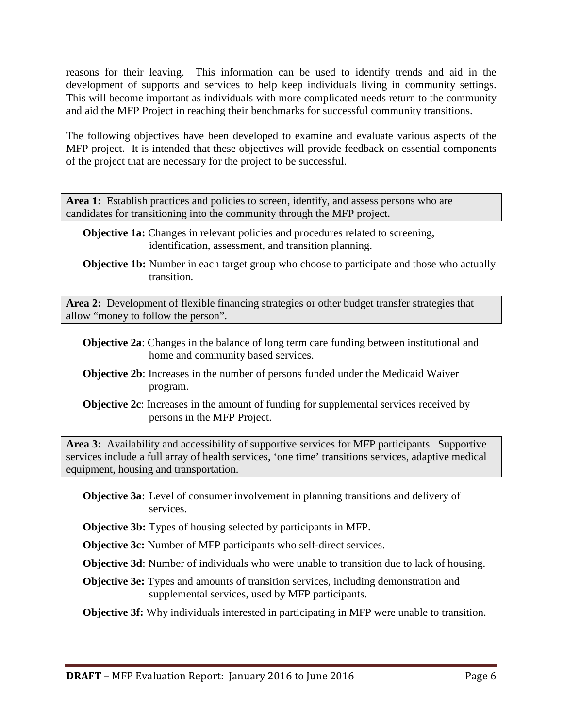reasons for their leaving. This information can be used to identify trends and aid in the development of supports and services to help keep individuals living in community settings. This will become important as individuals with more complicated needs return to the community and aid the MFP Project in reaching their benchmarks for successful community transitions.

The following objectives have been developed to examine and evaluate various aspects of the MFP project. It is intended that these objectives will provide feedback on essential components of the project that are necessary for the project to be successful.

Area 1: Establish practices and policies to screen, identify, and assess persons who are candidates for transitioning into the community through the MFP project.

- **Objective 1a:** Changes in relevant policies and procedures related to screening, identification, assessment, and transition planning.
- **Objective 1b:** Number in each target group who choose to participate and those who actually transition.

**Area 2:** Development of flexible financing strategies or other budget transfer strategies that allow "money to follow the person".

- **Objective 2a**: Changes in the balance of long term care funding between institutional and home and community based services.
- **Objective 2b**: Increases in the number of persons funded under the Medicaid Waiver program.
- **Objective 2c**: Increases in the amount of funding for supplemental services received by persons in the MFP Project.

**Area 3:** Availability and accessibility of supportive services for MFP participants. Supportive services include a full array of health services, 'one time' transitions services, adaptive medical equipment, housing and transportation.

- **Objective 3a**: Level of consumer involvement in planning transitions and delivery of services.
- **Objective 3b:** Types of housing selected by participants in MFP.

**Objective 3c:** Number of MFP participants who self-direct services.

**Objective 3d**: Number of individuals who were unable to transition due to lack of housing.

**Objective 3e:** Types and amounts of transition services, including demonstration and supplemental services, used by MFP participants.

**Objective 3f:** Why individuals interested in participating in MFP were unable to transition.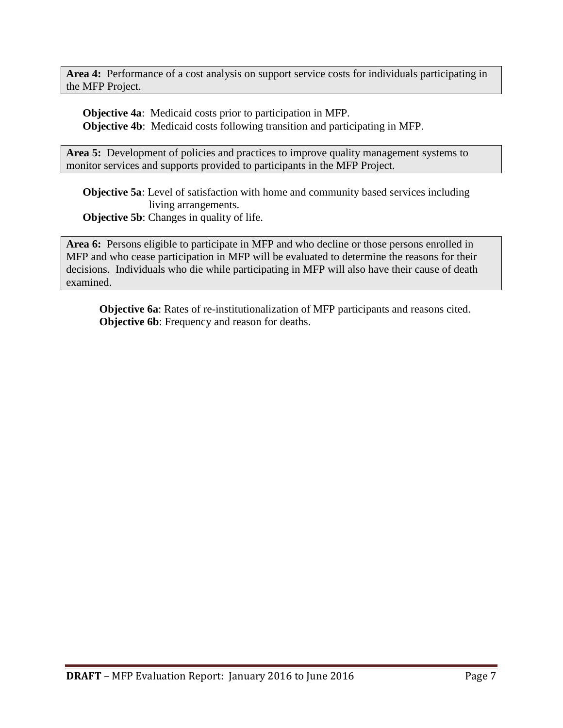**Area 4:** Performance of a cost analysis on support service costs for individuals participating in the MFP Project.

**Objective 4a**: Medicaid costs prior to participation in MFP. **Objective 4b**: Medicaid costs following transition and participating in MFP.

Area 5: Development of policies and practices to improve quality management systems to monitor services and supports provided to participants in the MFP Project.

**Objective 5a**: Level of satisfaction with home and community based services including living arrangements. **Objective 5b:** Changes in quality of life.

**Area 6:** Persons eligible to participate in MFP and who decline or those persons enrolled in MFP and who cease participation in MFP will be evaluated to determine the reasons for their decisions. Individuals who die while participating in MFP will also have their cause of death examined.

**Objective 6a**: Rates of re-institutionalization of MFP participants and reasons cited. **Objective 6b**: Frequency and reason for deaths.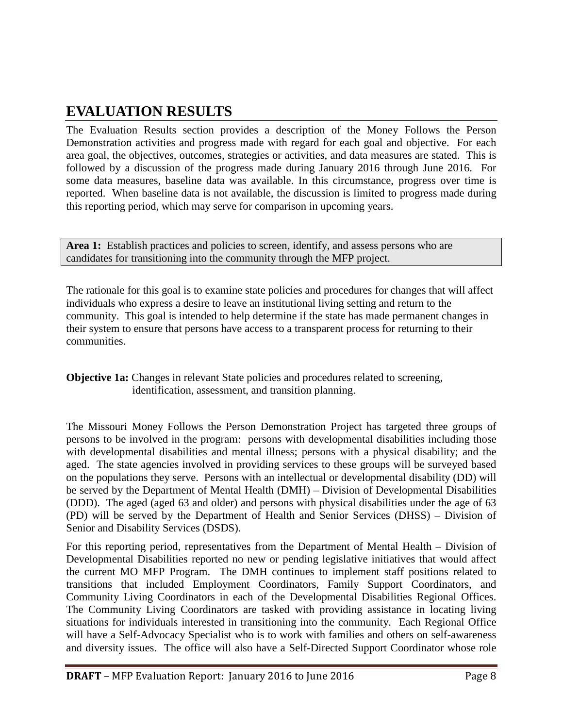# **EVALUATION RESULTS**

The Evaluation Results section provides a description of the Money Follows the Person Demonstration activities and progress made with regard for each goal and objective. For each area goal, the objectives, outcomes, strategies or activities, and data measures are stated. This is followed by a discussion of the progress made during January 2016 through June 2016. For some data measures, baseline data was available. In this circumstance, progress over time is reported. When baseline data is not available, the discussion is limited to progress made during this reporting period, which may serve for comparison in upcoming years.

Area 1: Establish practices and policies to screen, identify, and assess persons who are candidates for transitioning into the community through the MFP project.

The rationale for this goal is to examine state policies and procedures for changes that will affect individuals who express a desire to leave an institutional living setting and return to the community. This goal is intended to help determine if the state has made permanent changes in their system to ensure that persons have access to a transparent process for returning to their communities.

**Objective 1a:** Changes in relevant State policies and procedures related to screening, identification, assessment, and transition planning.

The Missouri Money Follows the Person Demonstration Project has targeted three groups of persons to be involved in the program: persons with developmental disabilities including those with developmental disabilities and mental illness; persons with a physical disability; and the aged. The state agencies involved in providing services to these groups will be surveyed based on the populations they serve. Persons with an intellectual or developmental disability (DD) will be served by the Department of Mental Health (DMH) – Division of Developmental Disabilities (DDD). The aged (aged 63 and older) and persons with physical disabilities under the age of 63 (PD) will be served by the Department of Health and Senior Services (DHSS) – Division of Senior and Disability Services (DSDS).

For this reporting period, representatives from the Department of Mental Health – Division of Developmental Disabilities reported no new or pending legislative initiatives that would affect the current MO MFP Program. The DMH continues to implement staff positions related to transitions that included Employment Coordinators, Family Support Coordinators, and Community Living Coordinators in each of the Developmental Disabilities Regional Offices. The Community Living Coordinators are tasked with providing assistance in locating living situations for individuals interested in transitioning into the community. Each Regional Office will have a Self-Advocacy Specialist who is to work with families and others on self-awareness and diversity issues. The office will also have a Self-Directed Support Coordinator whose role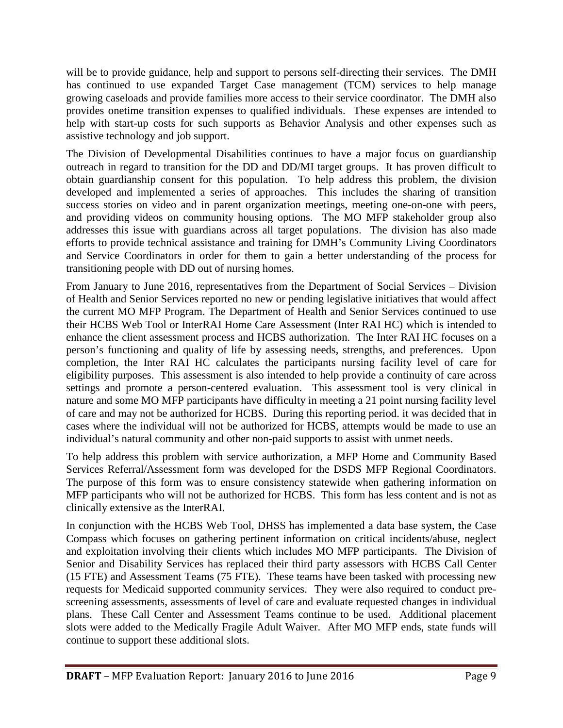will be to provide guidance, help and support to persons self-directing their services. The DMH has continued to use expanded Target Case management (TCM) services to help manage growing caseloads and provide families more access to their service coordinator. The DMH also provides onetime transition expenses to qualified individuals. These expenses are intended to help with start-up costs for such supports as Behavior Analysis and other expenses such as assistive technology and job support.

The Division of Developmental Disabilities continues to have a major focus on guardianship outreach in regard to transition for the DD and DD/MI target groups. It has proven difficult to obtain guardianship consent for this population. To help address this problem, the division developed and implemented a series of approaches. This includes the sharing of transition success stories on video and in parent organization meetings, meeting one-on-one with peers, and providing videos on community housing options. The MO MFP stakeholder group also addresses this issue with guardians across all target populations. The division has also made efforts to provide technical assistance and training for DMH's Community Living Coordinators and Service Coordinators in order for them to gain a better understanding of the process for transitioning people with DD out of nursing homes.

From January to June 2016, representatives from the Department of Social Services – Division of Health and Senior Services reported no new or pending legislative initiatives that would affect the current MO MFP Program. The Department of Health and Senior Services continued to use their HCBS Web Tool or InterRAI Home Care Assessment (Inter RAI HC) which is intended to enhance the client assessment process and HCBS authorization. The Inter RAI HC focuses on a person's functioning and quality of life by assessing needs, strengths, and preferences. Upon completion, the Inter RAI HC calculates the participants nursing facility level of care for eligibility purposes. This assessment is also intended to help provide a continuity of care across settings and promote a person-centered evaluation. This assessment tool is very clinical in nature and some MO MFP participants have difficulty in meeting a 21 point nursing facility level of care and may not be authorized for HCBS. During this reporting period. it was decided that in cases where the individual will not be authorized for HCBS, attempts would be made to use an individual's natural community and other non-paid supports to assist with unmet needs.

To help address this problem with service authorization, a MFP Home and Community Based Services Referral/Assessment form was developed for the DSDS MFP Regional Coordinators. The purpose of this form was to ensure consistency statewide when gathering information on MFP participants who will not be authorized for HCBS. This form has less content and is not as clinically extensive as the InterRAI.

In conjunction with the HCBS Web Tool, DHSS has implemented a data base system, the Case Compass which focuses on gathering pertinent information on critical incidents/abuse, neglect and exploitation involving their clients which includes MO MFP participants. The Division of Senior and Disability Services has replaced their third party assessors with HCBS Call Center (15 FTE) and Assessment Teams (75 FTE). These teams have been tasked with processing new requests for Medicaid supported community services. They were also required to conduct prescreening assessments, assessments of level of care and evaluate requested changes in individual plans. These Call Center and Assessment Teams continue to be used. Additional placement slots were added to the Medically Fragile Adult Waiver. After MO MFP ends, state funds will continue to support these additional slots.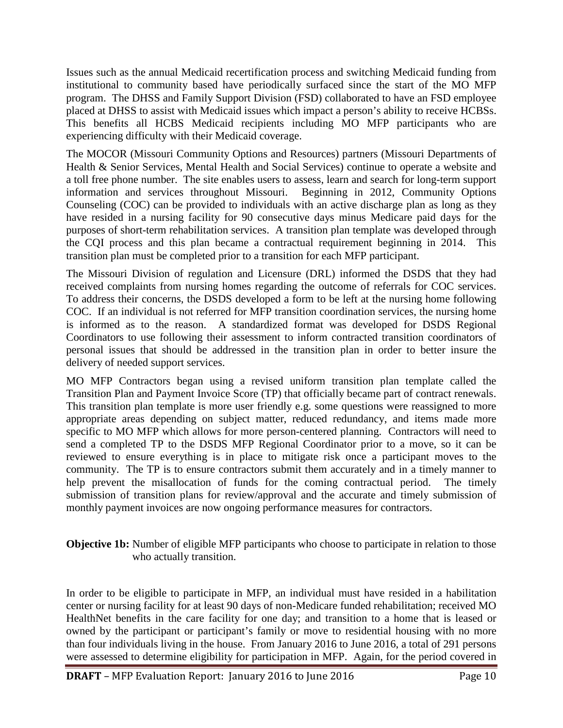Issues such as the annual Medicaid recertification process and switching Medicaid funding from institutional to community based have periodically surfaced since the start of the MO MFP program. The DHSS and Family Support Division (FSD) collaborated to have an FSD employee placed at DHSS to assist with Medicaid issues which impact a person's ability to receive HCBSs. This benefits all HCBS Medicaid recipients including MO MFP participants who are experiencing difficulty with their Medicaid coverage.

The MOCOR (Missouri Community Options and Resources) partners (Missouri Departments of Health & Senior Services, Mental Health and Social Services) continue to operate a website and a toll free phone number. The site enables users to assess, learn and search for long-term support information and services throughout Missouri. Beginning in 2012, Community Options Counseling (COC) can be provided to individuals with an active discharge plan as long as they have resided in a nursing facility for 90 consecutive days minus Medicare paid days for the purposes of short-term rehabilitation services. A transition plan template was developed through the CQI process and this plan became a contractual requirement beginning in 2014. This transition plan must be completed prior to a transition for each MFP participant.

The Missouri Division of regulation and Licensure (DRL) informed the DSDS that they had received complaints from nursing homes regarding the outcome of referrals for COC services. To address their concerns, the DSDS developed a form to be left at the nursing home following COC. If an individual is not referred for MFP transition coordination services, the nursing home is informed as to the reason. A standardized format was developed for DSDS Regional Coordinators to use following their assessment to inform contracted transition coordinators of personal issues that should be addressed in the transition plan in order to better insure the delivery of needed support services.

MO MFP Contractors began using a revised uniform transition plan template called the Transition Plan and Payment Invoice Score (TP) that officially became part of contract renewals. This transition plan template is more user friendly e.g. some questions were reassigned to more appropriate areas depending on subject matter, reduced redundancy, and items made more specific to MO MFP which allows for more person-centered planning. Contractors will need to send a completed TP to the DSDS MFP Regional Coordinator prior to a move, so it can be reviewed to ensure everything is in place to mitigate risk once a participant moves to the community. The TP is to ensure contractors submit them accurately and in a timely manner to help prevent the misallocation of funds for the coming contractual period. The timely submission of transition plans for review/approval and the accurate and timely submission of monthly payment invoices are now ongoing performance measures for contractors.

#### **Objective 1b:** Number of eligible MFP participants who choose to participate in relation to those who actually transition.

In order to be eligible to participate in MFP, an individual must have resided in a habilitation center or nursing facility for at least 90 days of non-Medicare funded rehabilitation; received MO HealthNet benefits in the care facility for one day; and transition to a home that is leased or owned by the participant or participant's family or move to residential housing with no more than four individuals living in the house. From January 2016 to June 2016, a total of 291 persons were assessed to determine eligibility for participation in MFP. Again, for the period covered in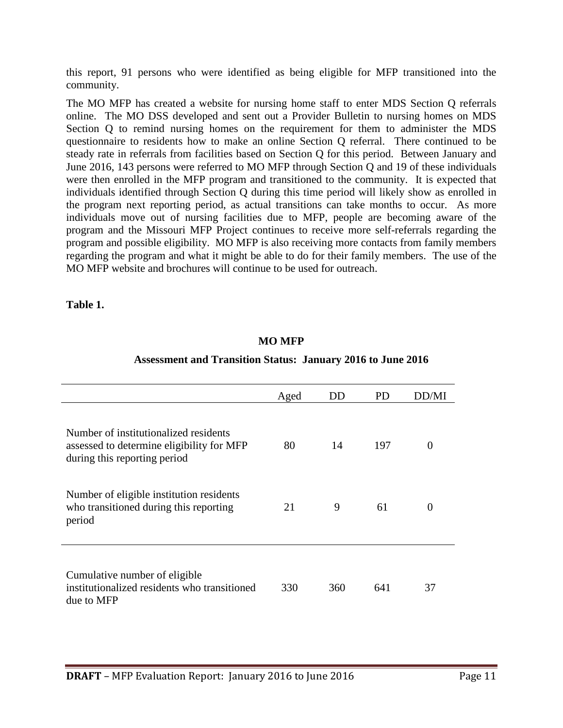this report, 91 persons who were identified as being eligible for MFP transitioned into the community.

The MO MFP has created a website for nursing home staff to enter MDS Section Q referrals online. The MO DSS developed and sent out a Provider Bulletin to nursing homes on MDS Section Q to remind nursing homes on the requirement for them to administer the MDS questionnaire to residents how to make an online Section Q referral. There continued to be steady rate in referrals from facilities based on Section Q for this period. Between January and June 2016, 143 persons were referred to MO MFP through Section Q and 19 of these individuals were then enrolled in the MFP program and transitioned to the community. It is expected that individuals identified through Section Q during this time period will likely show as enrolled in the program next reporting period, as actual transitions can take months to occur. As more individuals move out of nursing facilities due to MFP, people are becoming aware of the program and the Missouri MFP Project continues to receive more self-referrals regarding the program and possible eligibility. MO MFP is also receiving more contacts from family members regarding the program and what it might be able to do for their family members. The use of the MO MFP website and brochures will continue to be used for outreach.

**Table 1.**

#### **MO MFP**

#### **Assessment and Transition Status: January 2016 to June 2016**

|                                                                                                                    | Aged | DD  | <b>PD</b> | DD/MI    |
|--------------------------------------------------------------------------------------------------------------------|------|-----|-----------|----------|
| Number of institutionalized residents<br>assessed to determine eligibility for MFP<br>during this reporting period | 80   | 14  | 197       | 0        |
| Number of eligible institution residents<br>who transitioned during this reporting<br>period                       | 21   | 9   | 61        | $\theta$ |
| Cumulative number of eligible<br>institutionalized residents who transitioned<br>due to MFP                        | 330  | 360 | 641       | 37       |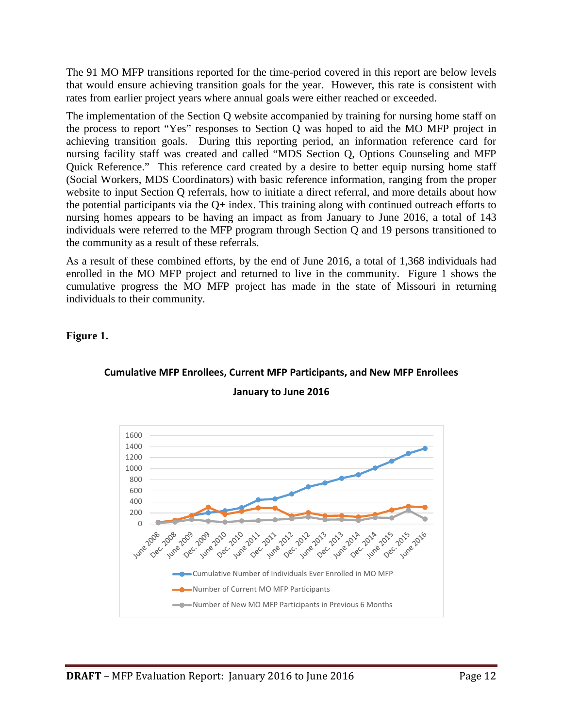The 91 MO MFP transitions reported for the time-period covered in this report are below levels that would ensure achieving transition goals for the year. However, this rate is consistent with rates from earlier project years where annual goals were either reached or exceeded.

The implementation of the Section Q website accompanied by training for nursing home staff on the process to report "Yes" responses to Section Q was hoped to aid the MO MFP project in achieving transition goals. During this reporting period, an information reference card for nursing facility staff was created and called "MDS Section Q, Options Counseling and MFP Quick Reference." This reference card created by a desire to better equip nursing home staff (Social Workers, MDS Coordinators) with basic reference information, ranging from the proper website to input Section Q referrals, how to initiate a direct referral, and more details about how the potential participants via the  $Q+$  index. This training along with continued outreach efforts to nursing homes appears to be having an impact as from January to June 2016, a total of 143 individuals were referred to the MFP program through Section Q and 19 persons transitioned to the community as a result of these referrals.

As a result of these combined efforts, by the end of June 2016, a total of 1,368 individuals had enrolled in the MO MFP project and returned to live in the community. Figure 1 shows the cumulative progress the MO MFP project has made in the state of Missouri in returning individuals to their community.

**Figure 1.**



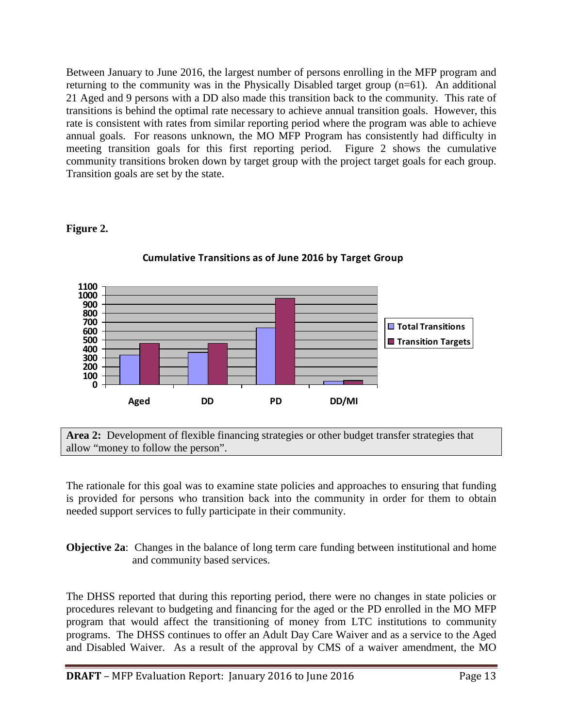Between January to June 2016, the largest number of persons enrolling in the MFP program and returning to the community was in the Physically Disabled target group (n=61). An additional 21 Aged and 9 persons with a DD also made this transition back to the community. This rate of transitions is behind the optimal rate necessary to achieve annual transition goals. However, this rate is consistent with rates from similar reporting period where the program was able to achieve annual goals. For reasons unknown, the MO MFP Program has consistently had difficulty in meeting transition goals for this first reporting period. Figure 2 shows the cumulative community transitions broken down by target group with the project target goals for each group. Transition goals are set by the state.

#### **Figure 2.**



#### **Cumulative Transitions as of June 2016 by Target Group**

**Area 2:** Development of flexible financing strategies or other budget transfer strategies that allow "money to follow the person".

The rationale for this goal was to examine state policies and approaches to ensuring that funding is provided for persons who transition back into the community in order for them to obtain needed support services to fully participate in their community.

**Objective 2a**: Changes in the balance of long term care funding between institutional and home and community based services.

The DHSS reported that during this reporting period, there were no changes in state policies or procedures relevant to budgeting and financing for the aged or the PD enrolled in the MO MFP program that would affect the transitioning of money from LTC institutions to community programs. The DHSS continues to offer an Adult Day Care Waiver and as a service to the Aged and Disabled Waiver. As a result of the approval by CMS of a waiver amendment, the MO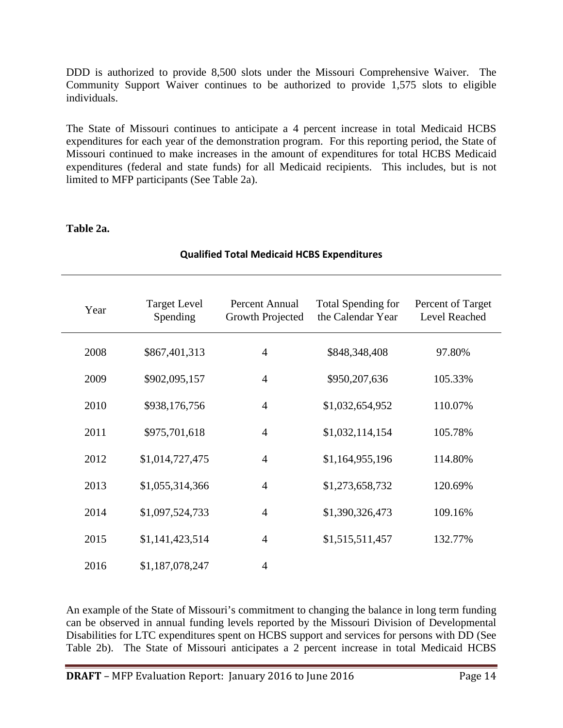DDD is authorized to provide 8,500 slots under the Missouri Comprehensive Waiver. The Community Support Waiver continues to be authorized to provide 1,575 slots to eligible individuals.

The State of Missouri continues to anticipate a 4 percent increase in total Medicaid HCBS expenditures for each year of the demonstration program. For this reporting period, the State of Missouri continued to make increases in the amount of expenditures for total HCBS Medicaid expenditures (federal and state funds) for all Medicaid recipients. This includes, but is not limited to MFP participants (See Table 2a).

#### **Table 2a.**

| Year | <b>Target Level</b><br>Spending | Percent Annual<br>Growth Projected | <b>Total Spending for</b><br>the Calendar Year | Percent of Target<br>Level Reached |
|------|---------------------------------|------------------------------------|------------------------------------------------|------------------------------------|
| 2008 | \$867,401,313                   | $\overline{4}$                     | \$848,348,408                                  | 97.80%                             |
| 2009 | \$902,095,157                   | $\overline{4}$                     | \$950,207,636                                  | 105.33%                            |
| 2010 | \$938,176,756                   | $\overline{4}$                     | \$1,032,654,952                                | 110.07%                            |
| 2011 | \$975,701,618                   | $\overline{4}$                     | \$1,032,114,154                                | 105.78%                            |
| 2012 | \$1,014,727,475                 | $\overline{4}$                     | \$1,164,955,196                                | 114.80%                            |
| 2013 | \$1,055,314,366                 | $\overline{4}$                     | \$1,273,658,732                                | 120.69%                            |
| 2014 | \$1,097,524,733                 | $\overline{4}$                     | \$1,390,326,473                                | 109.16%                            |
| 2015 | \$1,141,423,514                 | $\overline{4}$                     | \$1,515,511,457                                | 132.77%                            |
| 2016 | \$1,187,078,247                 | $\overline{4}$                     |                                                |                                    |

#### **Qualified Total Medicaid HCBS Expenditures**

An example of the State of Missouri's commitment to changing the balance in long term funding can be observed in annual funding levels reported by the Missouri Division of Developmental Disabilities for LTC expenditures spent on HCBS support and services for persons with DD (See Table 2b). The State of Missouri anticipates a 2 percent increase in total Medicaid HCBS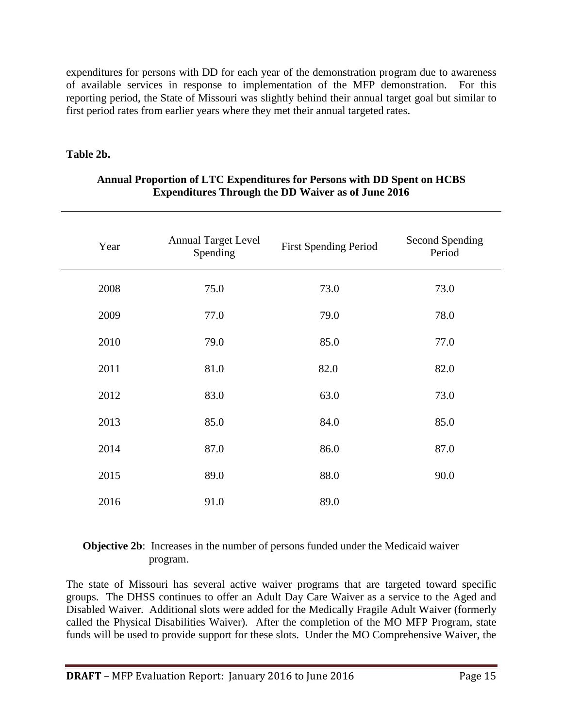expenditures for persons with DD for each year of the demonstration program due to awareness of available services in response to implementation of the MFP demonstration. For this reporting period, the State of Missouri was slightly behind their annual target goal but similar to first period rates from earlier years where they met their annual targeted rates.

#### **Table 2b.**

| Year | <b>Annual Target Level</b><br>Spending | <b>First Spending Period</b> | Second Spending<br>Period |
|------|----------------------------------------|------------------------------|---------------------------|
| 2008 | 75.0                                   | 73.0                         | 73.0                      |
| 2009 | 77.0                                   | 79.0                         | 78.0                      |
| 2010 | 79.0                                   | 85.0                         | 77.0                      |
| 2011 | 81.0                                   | 82.0                         | 82.0                      |
| 2012 | 83.0                                   | 63.0                         | 73.0                      |
| 2013 | 85.0                                   | 84.0                         | 85.0                      |
| 2014 | 87.0                                   | 86.0                         | 87.0                      |
| 2015 | 89.0                                   | 88.0                         | 90.0                      |
| 2016 | 91.0                                   | 89.0                         |                           |

#### **Annual Proportion of LTC Expenditures for Persons with DD Spent on HCBS Expenditures Through the DD Waiver as of June 2016**

#### **Objective 2b**: Increases in the number of persons funded under the Medicaid waiver program.

The state of Missouri has several active waiver programs that are targeted toward specific groups. The DHSS continues to offer an Adult Day Care Waiver as a service to the Aged and Disabled Waiver. Additional slots were added for the Medically Fragile Adult Waiver (formerly called the Physical Disabilities Waiver). After the completion of the MO MFP Program, state funds will be used to provide support for these slots. Under the MO Comprehensive Waiver, the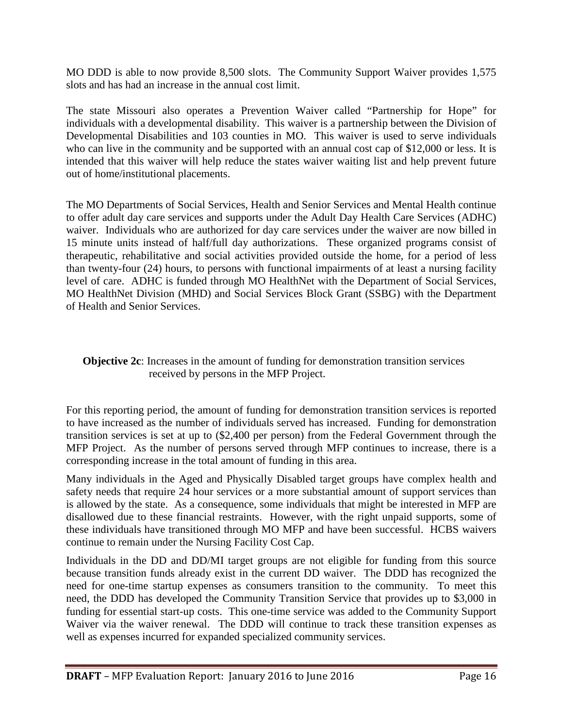MO DDD is able to now provide 8,500 slots. The Community Support Waiver provides 1,575 slots and has had an increase in the annual cost limit.

The state Missouri also operates a Prevention Waiver called "Partnership for Hope" for individuals with a developmental disability. This waiver is a partnership between the Division of Developmental Disabilities and 103 counties in MO. This waiver is used to serve individuals who can live in the community and be supported with an annual cost cap of \$12,000 or less. It is intended that this waiver will help reduce the states waiver waiting list and help prevent future out of home/institutional placements.

The MO Departments of Social Services, Health and Senior Services and Mental Health continue to offer adult day care services and supports under the Adult Day Health Care Services (ADHC) waiver. Individuals who are authorized for day care services under the waiver are now billed in 15 minute units instead of half/full day authorizations. These organized programs consist of therapeutic, rehabilitative and social activities provided outside the home, for a period of less than twenty-four (24) hours, to persons with functional impairments of at least a nursing facility level of care. ADHC is funded through MO HealthNet with the Department of Social Services, MO HealthNet Division (MHD) and Social Services Block Grant (SSBG) with the Department of Health and Senior Services.

**Objective 2c**: Increases in the amount of funding for demonstration transition services received by persons in the MFP Project.

For this reporting period, the amount of funding for demonstration transition services is reported to have increased as the number of individuals served has increased. Funding for demonstration transition services is set at up to (\$2,400 per person) from the Federal Government through the MFP Project. As the number of persons served through MFP continues to increase, there is a corresponding increase in the total amount of funding in this area.

Many individuals in the Aged and Physically Disabled target groups have complex health and safety needs that require 24 hour services or a more substantial amount of support services than is allowed by the state. As a consequence, some individuals that might be interested in MFP are disallowed due to these financial restraints. However, with the right unpaid supports, some of these individuals have transitioned through MO MFP and have been successful. HCBS waivers continue to remain under the Nursing Facility Cost Cap.

Individuals in the DD and DD/MI target groups are not eligible for funding from this source because transition funds already exist in the current DD waiver. The DDD has recognized the need for one-time startup expenses as consumers transition to the community. To meet this need, the DDD has developed the Community Transition Service that provides up to \$3,000 in funding for essential start-up costs. This one-time service was added to the Community Support Waiver via the waiver renewal. The DDD will continue to track these transition expenses as well as expenses incurred for expanded specialized community services.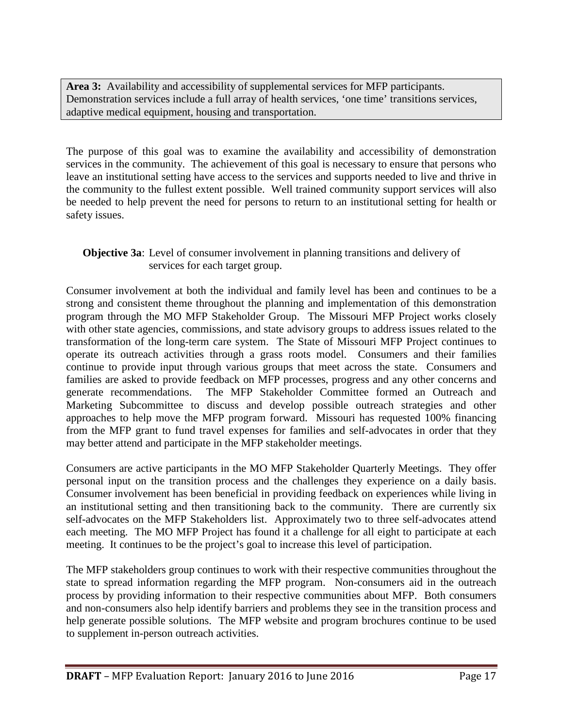**Area 3:** Availability and accessibility of supplemental services for MFP participants. Demonstration services include a full array of health services, 'one time' transitions services, adaptive medical equipment, housing and transportation.

The purpose of this goal was to examine the availability and accessibility of demonstration services in the community. The achievement of this goal is necessary to ensure that persons who leave an institutional setting have access to the services and supports needed to live and thrive in the community to the fullest extent possible. Well trained community support services will also be needed to help prevent the need for persons to return to an institutional setting for health or safety issues.

#### **Objective 3a**: Level of consumer involvement in planning transitions and delivery of services for each target group.

Consumer involvement at both the individual and family level has been and continues to be a strong and consistent theme throughout the planning and implementation of this demonstration program through the MO MFP Stakeholder Group. The Missouri MFP Project works closely with other state agencies, commissions, and state advisory groups to address issues related to the transformation of the long-term care system. The State of Missouri MFP Project continues to operate its outreach activities through a grass roots model. Consumers and their families continue to provide input through various groups that meet across the state. Consumers and families are asked to provide feedback on MFP processes, progress and any other concerns and generate recommendations. The MFP Stakeholder Committee formed an Outreach and Marketing Subcommittee to discuss and develop possible outreach strategies and other approaches to help move the MFP program forward. Missouri has requested 100% financing from the MFP grant to fund travel expenses for families and self-advocates in order that they may better attend and participate in the MFP stakeholder meetings.

Consumers are active participants in the MO MFP Stakeholder Quarterly Meetings. They offer personal input on the transition process and the challenges they experience on a daily basis. Consumer involvement has been beneficial in providing feedback on experiences while living in an institutional setting and then transitioning back to the community. There are currently six self-advocates on the MFP Stakeholders list. Approximately two to three self-advocates attend each meeting. The MO MFP Project has found it a challenge for all eight to participate at each meeting. It continues to be the project's goal to increase this level of participation.

The MFP stakeholders group continues to work with their respective communities throughout the state to spread information regarding the MFP program. Non-consumers aid in the outreach process by providing information to their respective communities about MFP. Both consumers and non-consumers also help identify barriers and problems they see in the transition process and help generate possible solutions. The MFP website and program brochures continue to be used to supplement in-person outreach activities.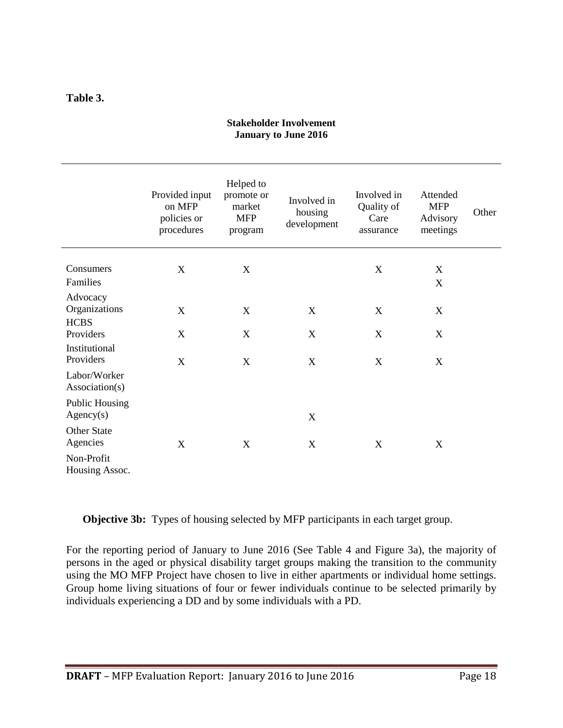#### **Table 3.**

#### **Stakeholder Involvement January to June 2016**

|                                          | Provided input<br>on MFP<br>policies or<br>procedures | Helped to<br>promote or<br>market<br><b>MFP</b><br>program | Involved in<br>housing<br>development | Involved in<br>Quality of<br>Care<br>assurance | Attended<br><b>MFP</b><br>Advisory<br>meetings | Other |
|------------------------------------------|-------------------------------------------------------|------------------------------------------------------------|---------------------------------------|------------------------------------------------|------------------------------------------------|-------|
| Consumers<br>Families                    | X                                                     | X                                                          |                                       | X                                              | X<br>$\boldsymbol{\mathrm{X}}$                 |       |
| Advocacy<br>Organizations<br><b>HCBS</b> | X                                                     | X                                                          | X                                     | X                                              | X                                              |       |
| Providers<br>Institutional               | X                                                     | X                                                          | X                                     | X                                              | X                                              |       |
| Providers                                | X                                                     | X                                                          | X                                     | X                                              | X                                              |       |
| Labor/Worker<br>Association(s)           |                                                       |                                                            |                                       |                                                |                                                |       |
| <b>Public Housing</b><br>Agency(s)       |                                                       |                                                            | X                                     |                                                |                                                |       |
| Other State<br>Agencies                  | X                                                     | X                                                          | X                                     | X                                              | X                                              |       |
| Non-Profit<br>Housing Assoc.             |                                                       |                                                            |                                       |                                                |                                                |       |

**Objective 3b:** Types of housing selected by MFP participants in each target group.

For the reporting period of January to June 2016 (See Table 4 and Figure 3a), the majority of persons in the aged or physical disability target groups making the transition to the community using the MO MFP Project have chosen to live in either apartments or individual home settings. Group home living situations of four or fewer individuals continue to be selected primarily by individuals experiencing a DD and by some individuals with a PD.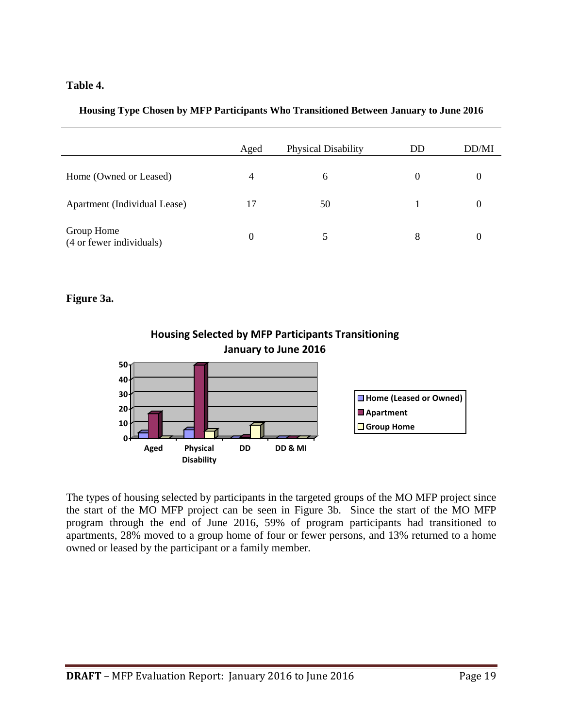#### **Table 4.**

|  |  | Housing Type Chosen by MFP Participants Who Transitioned Between January to June 2016 |  |  |  |
|--|--|---------------------------------------------------------------------------------------|--|--|--|
|  |  |                                                                                       |  |  |  |
|  |  |                                                                                       |  |  |  |

|                                        | Aged | Physical Disability | DD       | DD/MI |
|----------------------------------------|------|---------------------|----------|-------|
| Home (Owned or Leased)                 | 4    | 6                   | $\theta$ |       |
| Apartment (Individual Lease)           | 17   | 50                  |          |       |
| Group Home<br>(4 or fewer individuals) | 0    |                     | 8        |       |

#### **Figure 3a.**



The types of housing selected by participants in the targeted groups of the MO MFP project since the start of the MO MFP project can be seen in Figure 3b. Since the start of the MO MFP program through the end of June 2016, 59% of program participants had transitioned to apartments, 28% moved to a group home of four or fewer persons, and 13% returned to a home owned or leased by the participant or a family member.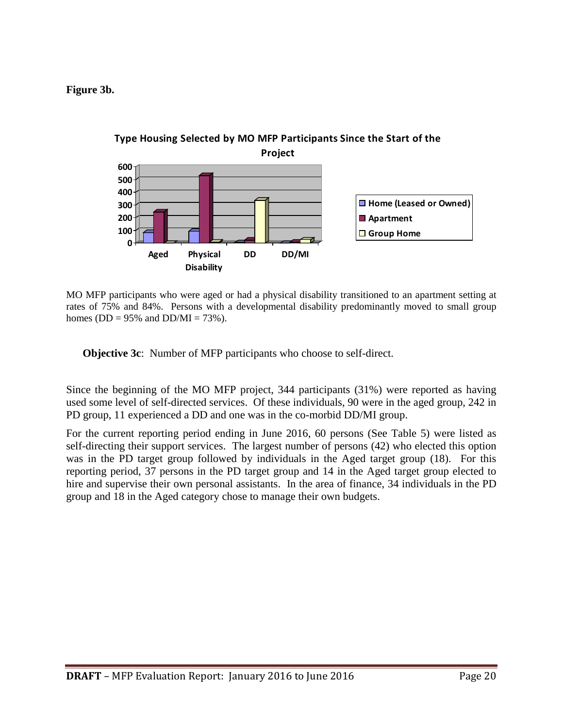**Figure 3b.**



MO MFP participants who were aged or had a physical disability transitioned to an apartment setting at rates of 75% and 84%. Persons with a developmental disability predominantly moved to small group homes ( $DD = 95\%$  and  $DD/MI = 73\%$ ).

**Objective 3c**: Number of MFP participants who choose to self-direct.

Since the beginning of the MO MFP project, 344 participants (31%) were reported as having used some level of self-directed services. Of these individuals, 90 were in the aged group, 242 in PD group, 11 experienced a DD and one was in the co-morbid DD/MI group.

For the current reporting period ending in June 2016, 60 persons (See Table 5) were listed as self-directing their support services. The largest number of persons (42) who elected this option was in the PD target group followed by individuals in the Aged target group (18). For this reporting period, 37 persons in the PD target group and 14 in the Aged target group elected to hire and supervise their own personal assistants. In the area of finance, 34 individuals in the PD group and 18 in the Aged category chose to manage their own budgets.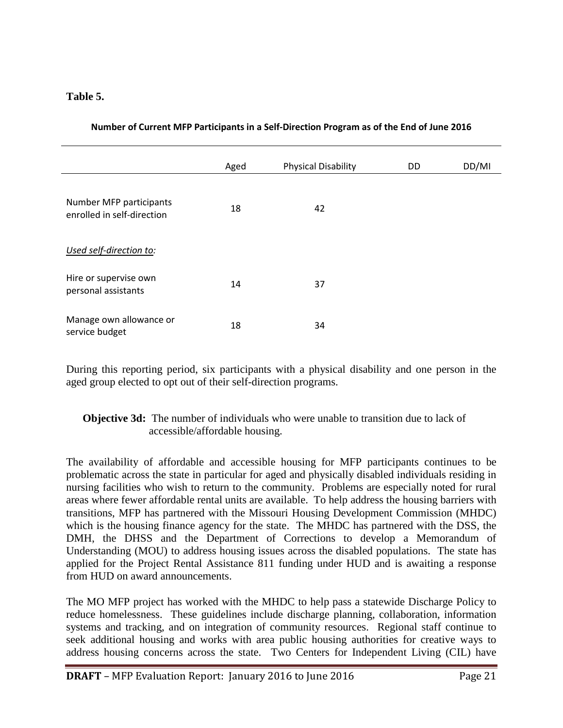#### **Table 5.**

|                                                       | Aged | <b>Physical Disability</b> | <b>DD</b> | DD/MI |
|-------------------------------------------------------|------|----------------------------|-----------|-------|
| Number MFP participants<br>enrolled in self-direction | 18   | 42                         |           |       |
| Used self-direction to:                               |      |                            |           |       |
| Hire or supervise own<br>personal assistants          | 14   | 37                         |           |       |
| Manage own allowance or<br>service budget             | 18   | 34                         |           |       |

**Number of Current MFP Participants in a Self-Direction Program as of the End of June 2016**

During this reporting period, six participants with a physical disability and one person in the aged group elected to opt out of their self-direction programs.

#### **Objective 3d:** The number of individuals who were unable to transition due to lack of accessible/affordable housing.

The availability of affordable and accessible housing for MFP participants continues to be problematic across the state in particular for aged and physically disabled individuals residing in nursing facilities who wish to return to the community. Problems are especially noted for rural areas where fewer affordable rental units are available. To help address the housing barriers with transitions, MFP has partnered with the Missouri Housing Development Commission (MHDC) which is the housing finance agency for the state. The MHDC has partnered with the DSS, the DMH, the DHSS and the Department of Corrections to develop a Memorandum of Understanding (MOU) to address housing issues across the disabled populations. The state has applied for the Project Rental Assistance 811 funding under HUD and is awaiting a response from HUD on award announcements.

The MO MFP project has worked with the MHDC to help pass a statewide Discharge Policy to reduce homelessness. These guidelines include discharge planning, collaboration, information systems and tracking, and on integration of community resources. Regional staff continue to seek additional housing and works with area public housing authorities for creative ways to address housing concerns across the state. Two Centers for Independent Living (CIL) have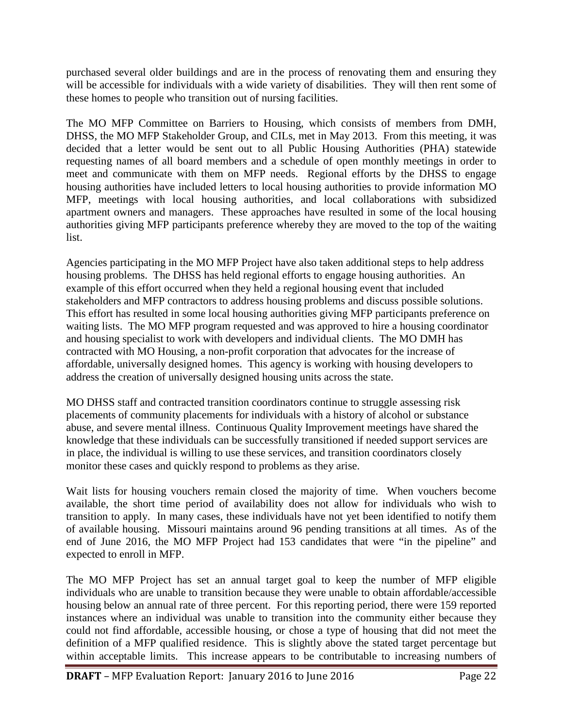purchased several older buildings and are in the process of renovating them and ensuring they will be accessible for individuals with a wide variety of disabilities. They will then rent some of these homes to people who transition out of nursing facilities.

The MO MFP Committee on Barriers to Housing, which consists of members from DMH, DHSS, the MO MFP Stakeholder Group, and CILs, met in May 2013. From this meeting, it was decided that a letter would be sent out to all Public Housing Authorities (PHA) statewide requesting names of all board members and a schedule of open monthly meetings in order to meet and communicate with them on MFP needs. Regional efforts by the DHSS to engage housing authorities have included letters to local housing authorities to provide information MO MFP, meetings with local housing authorities, and local collaborations with subsidized apartment owners and managers. These approaches have resulted in some of the local housing authorities giving MFP participants preference whereby they are moved to the top of the waiting list.

Agencies participating in the MO MFP Project have also taken additional steps to help address housing problems. The DHSS has held regional efforts to engage housing authorities. An example of this effort occurred when they held a regional housing event that included stakeholders and MFP contractors to address housing problems and discuss possible solutions. This effort has resulted in some local housing authorities giving MFP participants preference on waiting lists. The MO MFP program requested and was approved to hire a housing coordinator and housing specialist to work with developers and individual clients. The MO DMH has contracted with MO Housing, a non-profit corporation that advocates for the increase of affordable, universally designed homes. This agency is working with housing developers to address the creation of universally designed housing units across the state.

MO DHSS staff and contracted transition coordinators continue to struggle assessing risk placements of community placements for individuals with a history of alcohol or substance abuse, and severe mental illness. Continuous Quality Improvement meetings have shared the knowledge that these individuals can be successfully transitioned if needed support services are in place, the individual is willing to use these services, and transition coordinators closely monitor these cases and quickly respond to problems as they arise.

Wait lists for housing vouchers remain closed the majority of time. When vouchers become available, the short time period of availability does not allow for individuals who wish to transition to apply. In many cases, these individuals have not yet been identified to notify them of available housing. Missouri maintains around 96 pending transitions at all times. As of the end of June 2016, the MO MFP Project had 153 candidates that were "in the pipeline" and expected to enroll in MFP.

The MO MFP Project has set an annual target goal to keep the number of MFP eligible individuals who are unable to transition because they were unable to obtain affordable/accessible housing below an annual rate of three percent. For this reporting period, there were 159 reported instances where an individual was unable to transition into the community either because they could not find affordable, accessible housing, or chose a type of housing that did not meet the definition of a MFP qualified residence. This is slightly above the stated target percentage but within acceptable limits. This increase appears to be contributable to increasing numbers of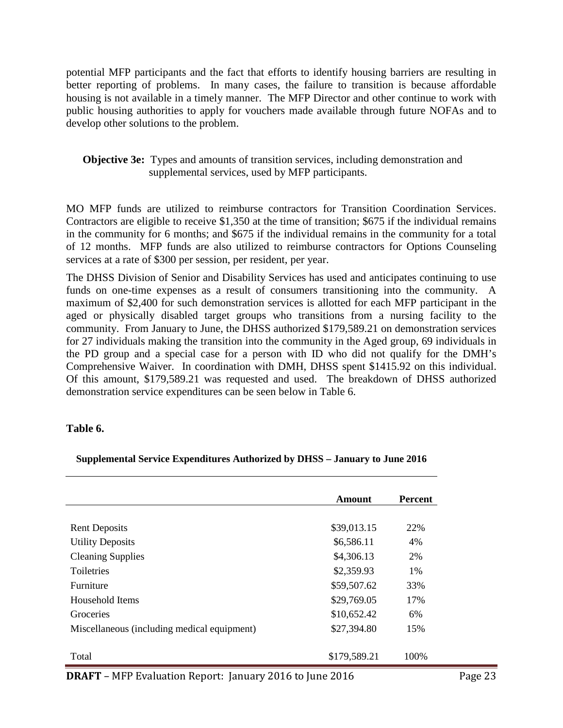potential MFP participants and the fact that efforts to identify housing barriers are resulting in better reporting of problems. In many cases, the failure to transition is because affordable housing is not available in a timely manner. The MFP Director and other continue to work with public housing authorities to apply for vouchers made available through future NOFAs and to develop other solutions to the problem.

#### **Objective 3e:** Types and amounts of transition services, including demonstration and supplemental services, used by MFP participants.

MO MFP funds are utilized to reimburse contractors for Transition Coordination Services. Contractors are eligible to receive \$1,350 at the time of transition; \$675 if the individual remains in the community for 6 months; and \$675 if the individual remains in the community for a total of 12 months. MFP funds are also utilized to reimburse contractors for Options Counseling services at a rate of \$300 per session, per resident, per year.

The DHSS Division of Senior and Disability Services has used and anticipates continuing to use funds on one-time expenses as a result of consumers transitioning into the community. A maximum of \$2,400 for such demonstration services is allotted for each MFP participant in the aged or physically disabled target groups who transitions from a nursing facility to the community. From January to June, the DHSS authorized \$179,589.21 on demonstration services for 27 individuals making the transition into the community in the Aged group, 69 individuals in the PD group and a special case for a person with ID who did not qualify for the DMH's Comprehensive Waiver. In coordination with DMH, DHSS spent \$1415.92 on this individual. Of this amount, \$179,589.21 was requested and used. The breakdown of DHSS authorized demonstration service expenditures can be seen below in Table 6.

#### **Table 6.**

#### **Supplemental Service Expenditures Authorized by DHSS – January to June 2016**

|                                             | Amount       | <b>Percent</b> |
|---------------------------------------------|--------------|----------------|
|                                             |              |                |
| <b>Rent Deposits</b>                        | \$39,013.15  | 22%            |
| <b>Utility Deposits</b>                     | \$6,586.11   | 4%             |
| <b>Cleaning Supplies</b>                    | \$4,306.13   | 2%             |
| <b>Toiletries</b>                           | \$2,359.93   | $1\%$          |
| Furniture                                   | \$59,507.62  | 33%            |
| Household Items                             | \$29,769.05  | 17%            |
| Groceries                                   | \$10,652.42  | 6%             |
| Miscellaneous (including medical equipment) | \$27,394.80  | 15%            |
|                                             |              |                |
| Total                                       | \$179,589.21 | 100\%          |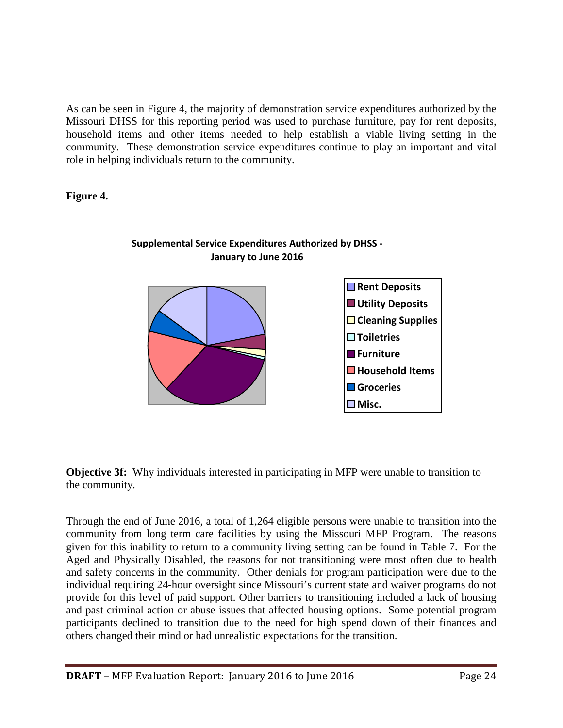As can be seen in Figure 4, the majority of demonstration service expenditures authorized by the Missouri DHSS for this reporting period was used to purchase furniture, pay for rent deposits, household items and other items needed to help establish a viable living setting in the community. These demonstration service expenditures continue to play an important and vital role in helping individuals return to the community.

**Figure 4.**



#### **Supplemental Service Expenditures Authorized by DHSS - January to June 2016**

**Objective 3f:** Why individuals interested in participating in MFP were unable to transition to the community.

Through the end of June 2016, a total of 1,264 eligible persons were unable to transition into the community from long term care facilities by using the Missouri MFP Program. The reasons given for this inability to return to a community living setting can be found in Table 7. For the Aged and Physically Disabled, the reasons for not transitioning were most often due to health and safety concerns in the community. Other denials for program participation were due to the individual requiring 24-hour oversight since Missouri's current state and waiver programs do not provide for this level of paid support. Other barriers to transitioning included a lack of housing and past criminal action or abuse issues that affected housing options. Some potential program participants declined to transition due to the need for high spend down of their finances and others changed their mind or had unrealistic expectations for the transition.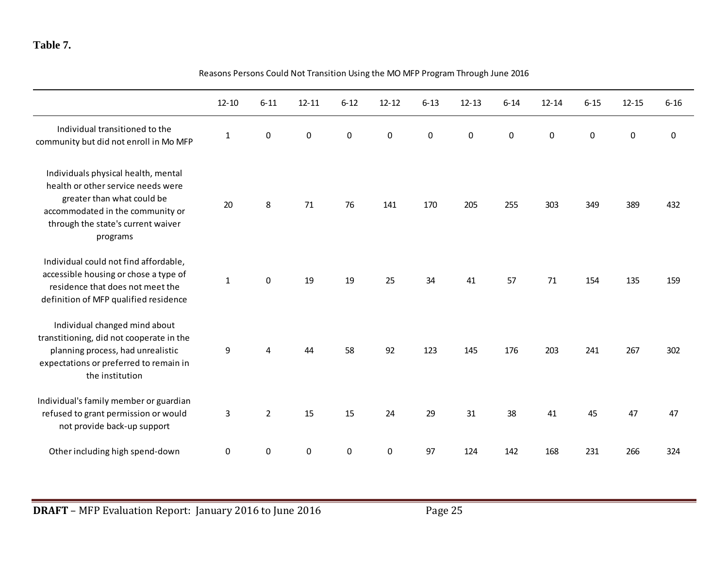#### **Table 7.**

|                                                                                                                                                                                               | <u>NE ASUIS PEISUIS CUUIU NUL HAISILIUII USIIIB LIIE IVIU IVIFF FIUBIAIII IIIIUUBII JUIIE ZULU</u> |                  |           |                  |           |           |             |                  |                  |           |           |          |
|-----------------------------------------------------------------------------------------------------------------------------------------------------------------------------------------------|----------------------------------------------------------------------------------------------------|------------------|-----------|------------------|-----------|-----------|-------------|------------------|------------------|-----------|-----------|----------|
|                                                                                                                                                                                               | $12 - 10$                                                                                          | $6 - 11$         | $12 - 11$ | $6 - 12$         | $12 - 12$ | $6 - 13$  | $12 - 13$   | $6 - 14$         | $12 - 14$        | $6 - 15$  | $12 - 15$ | $6 - 16$ |
| Individual transitioned to the<br>community but did not enroll in Mo MFP                                                                                                                      | $\mathbf{1}$                                                                                       | $\pmb{0}$        | $\pmb{0}$ | $\boldsymbol{0}$ | $\pmb{0}$ | $\pmb{0}$ | $\mathbf 0$ | $\boldsymbol{0}$ | $\boldsymbol{0}$ | $\pmb{0}$ | $\pmb{0}$ | 0        |
| Individuals physical health, mental<br>health or other service needs were<br>greater than what could be<br>accommodated in the community or<br>through the state's current waiver<br>programs | 20                                                                                                 | 8                | 71        | 76               | 141       | 170       | 205         | 255              | 303              | 349       | 389       | 432      |
| Individual could not find affordable,<br>accessible housing or chose a type of<br>residence that does not meet the<br>definition of MFP qualified residence                                   | $\mathbf 1$                                                                                        | $\mathbf 0$      | 19        | 19               | 25        | 34        | 41          | 57               | 71               | 154       | 135       | 159      |
| Individual changed mind about<br>transtitioning, did not cooperate in the<br>planning process, had unrealistic<br>expectations or preferred to remain in<br>the institution                   | 9                                                                                                  | 4                | 44        | 58               | 92        | 123       | 145         | 176              | 203              | 241       | 267       | 302      |
| Individual's family member or guardian<br>refused to grant permission or would<br>not provide back-up support                                                                                 | 3                                                                                                  | $2^{\circ}$      | 15        | 15               | 24        | 29        | 31          | 38               | 41               | 45        | 47        | 47       |
| Other including high spend-down                                                                                                                                                               | 0                                                                                                  | $\boldsymbol{0}$ | 0         | $\pmb{0}$        | 0         | 97        | 124         | 142              | 168              | 231       | 266       | 324      |

Reasons Persons Could Not Transition Using the MO MFP Program Through June 2016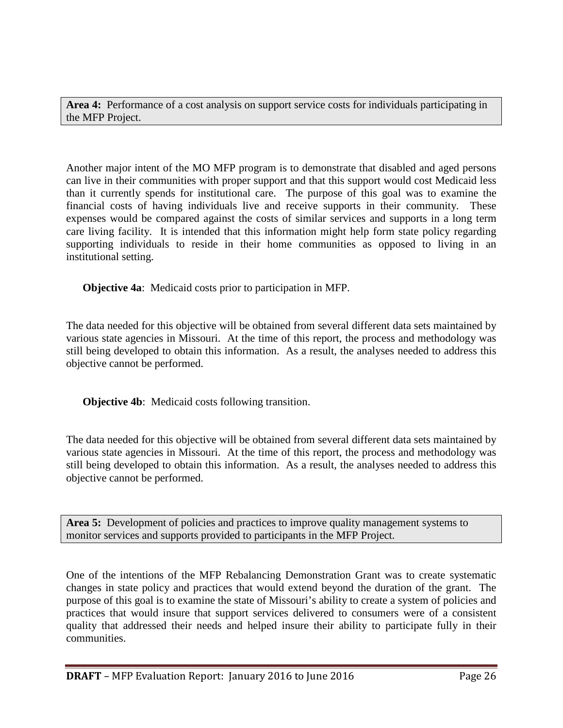**Area 4:** Performance of a cost analysis on support service costs for individuals participating in the MFP Project.

Another major intent of the MO MFP program is to demonstrate that disabled and aged persons can live in their communities with proper support and that this support would cost Medicaid less than it currently spends for institutional care. The purpose of this goal was to examine the financial costs of having individuals live and receive supports in their community. These expenses would be compared against the costs of similar services and supports in a long term care living facility. It is intended that this information might help form state policy regarding supporting individuals to reside in their home communities as opposed to living in an institutional setting.

**Objective 4a**: Medicaid costs prior to participation in MFP.

The data needed for this objective will be obtained from several different data sets maintained by various state agencies in Missouri. At the time of this report, the process and methodology was still being developed to obtain this information. As a result, the analyses needed to address this objective cannot be performed.

**Objective 4b**: Medicaid costs following transition.

The data needed for this objective will be obtained from several different data sets maintained by various state agencies in Missouri. At the time of this report, the process and methodology was still being developed to obtain this information. As a result, the analyses needed to address this objective cannot be performed.

**Area 5:** Development of policies and practices to improve quality management systems to monitor services and supports provided to participants in the MFP Project.

One of the intentions of the MFP Rebalancing Demonstration Grant was to create systematic changes in state policy and practices that would extend beyond the duration of the grant. The purpose of this goal is to examine the state of Missouri's ability to create a system of policies and practices that would insure that support services delivered to consumers were of a consistent quality that addressed their needs and helped insure their ability to participate fully in their communities.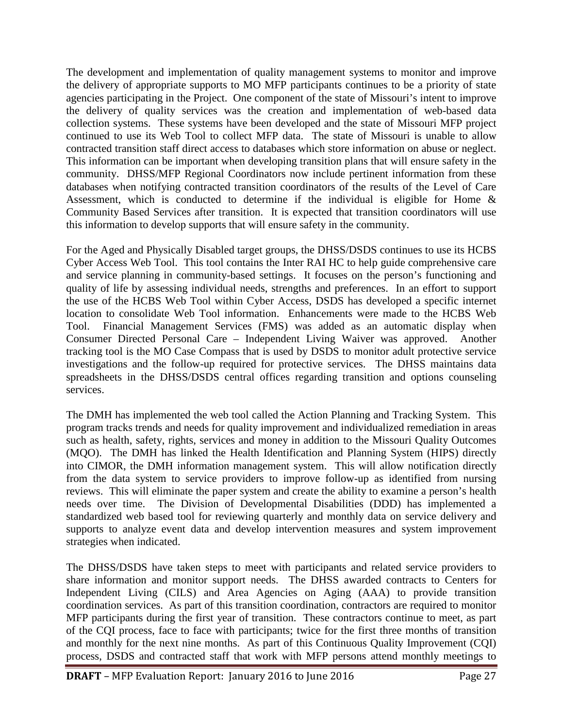The development and implementation of quality management systems to monitor and improve the delivery of appropriate supports to MO MFP participants continues to be a priority of state agencies participating in the Project. One component of the state of Missouri's intent to improve the delivery of quality services was the creation and implementation of web-based data collection systems. These systems have been developed and the state of Missouri MFP project continued to use its Web Tool to collect MFP data. The state of Missouri is unable to allow contracted transition staff direct access to databases which store information on abuse or neglect. This information can be important when developing transition plans that will ensure safety in the community. DHSS/MFP Regional Coordinators now include pertinent information from these databases when notifying contracted transition coordinators of the results of the Level of Care Assessment, which is conducted to determine if the individual is eligible for Home  $\&$ Community Based Services after transition. It is expected that transition coordinators will use this information to develop supports that will ensure safety in the community.

For the Aged and Physically Disabled target groups, the DHSS/DSDS continues to use its HCBS Cyber Access Web Tool. This tool contains the Inter RAI HC to help guide comprehensive care and service planning in community-based settings. It focuses on the person's functioning and quality of life by assessing individual needs, strengths and preferences. In an effort to support the use of the HCBS Web Tool within Cyber Access, DSDS has developed a specific internet location to consolidate Web Tool information. Enhancements were made to the HCBS Web Tool. Financial Management Services (FMS) was added as an automatic display when Consumer Directed Personal Care – Independent Living Waiver was approved. Another tracking tool is the MO Case Compass that is used by DSDS to monitor adult protective service investigations and the follow-up required for protective services. The DHSS maintains data spreadsheets in the DHSS/DSDS central offices regarding transition and options counseling services.

The DMH has implemented the web tool called the Action Planning and Tracking System. This program tracks trends and needs for quality improvement and individualized remediation in areas such as health, safety, rights, services and money in addition to the Missouri Quality Outcomes (MQO). The DMH has linked the Health Identification and Planning System (HIPS) directly into CIMOR, the DMH information management system. This will allow notification directly from the data system to service providers to improve follow-up as identified from nursing reviews. This will eliminate the paper system and create the ability to examine a person's health needs over time. The Division of Developmental Disabilities (DDD) has implemented a standardized web based tool for reviewing quarterly and monthly data on service delivery and supports to analyze event data and develop intervention measures and system improvement strategies when indicated.

The DHSS/DSDS have taken steps to meet with participants and related service providers to share information and monitor support needs. The DHSS awarded contracts to Centers for Independent Living (CILS) and Area Agencies on Aging (AAA) to provide transition coordination services. As part of this transition coordination, contractors are required to monitor MFP participants during the first year of transition. These contractors continue to meet, as part of the CQI process, face to face with participants; twice for the first three months of transition and monthly for the next nine months. As part of this Continuous Quality Improvement (CQI) process, DSDS and contracted staff that work with MFP persons attend monthly meetings to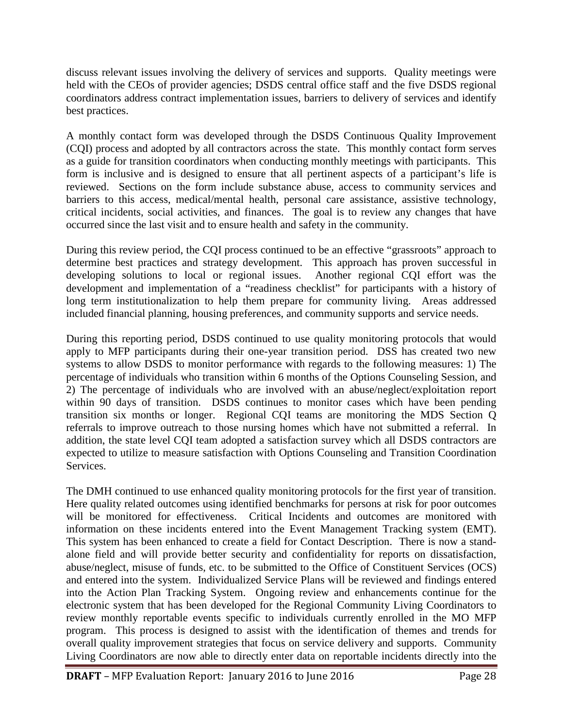discuss relevant issues involving the delivery of services and supports. Quality meetings were held with the CEOs of provider agencies; DSDS central office staff and the five DSDS regional coordinators address contract implementation issues, barriers to delivery of services and identify best practices.

A monthly contact form was developed through the DSDS Continuous Quality Improvement (CQI) process and adopted by all contractors across the state. This monthly contact form serves as a guide for transition coordinators when conducting monthly meetings with participants. This form is inclusive and is designed to ensure that all pertinent aspects of a participant's life is reviewed. Sections on the form include substance abuse, access to community services and barriers to this access, medical/mental health, personal care assistance, assistive technology, critical incidents, social activities, and finances. The goal is to review any changes that have occurred since the last visit and to ensure health and safety in the community.

During this review period, the CQI process continued to be an effective "grassroots" approach to determine best practices and strategy development. This approach has proven successful in developing solutions to local or regional issues. Another regional CQI effort was the development and implementation of a "readiness checklist" for participants with a history of long term institutionalization to help them prepare for community living. Areas addressed included financial planning, housing preferences, and community supports and service needs.

During this reporting period, DSDS continued to use quality monitoring protocols that would apply to MFP participants during their one-year transition period. DSS has created two new systems to allow DSDS to monitor performance with regards to the following measures: 1) The percentage of individuals who transition within 6 months of the Options Counseling Session, and 2) The percentage of individuals who are involved with an abuse/neglect/exploitation report within 90 days of transition. DSDS continues to monitor cases which have been pending transition six months or longer. Regional CQI teams are monitoring the MDS Section Q referrals to improve outreach to those nursing homes which have not submitted a referral. In addition, the state level CQI team adopted a satisfaction survey which all DSDS contractors are expected to utilize to measure satisfaction with Options Counseling and Transition Coordination Services.

The DMH continued to use enhanced quality monitoring protocols for the first year of transition. Here quality related outcomes using identified benchmarks for persons at risk for poor outcomes will be monitored for effectiveness. Critical Incidents and outcomes are monitored with information on these incidents entered into the Event Management Tracking system (EMT). This system has been enhanced to create a field for Contact Description. There is now a standalone field and will provide better security and confidentiality for reports on dissatisfaction, abuse/neglect, misuse of funds, etc. to be submitted to the Office of Constituent Services (OCS) and entered into the system. Individualized Service Plans will be reviewed and findings entered into the Action Plan Tracking System. Ongoing review and enhancements continue for the electronic system that has been developed for the Regional Community Living Coordinators to review monthly reportable events specific to individuals currently enrolled in the MO MFP program. This process is designed to assist with the identification of themes and trends for overall quality improvement strategies that focus on service delivery and supports. Community Living Coordinators are now able to directly enter data on reportable incidents directly into the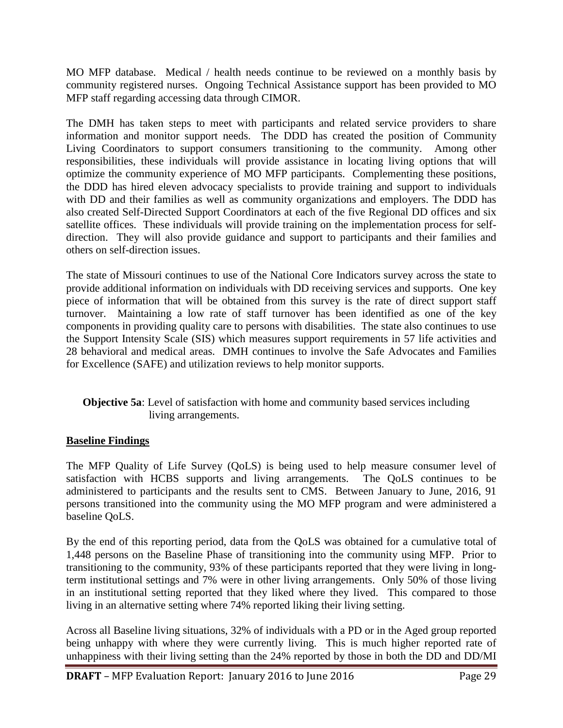MO MFP database. Medical / health needs continue to be reviewed on a monthly basis by community registered nurses. Ongoing Technical Assistance support has been provided to MO MFP staff regarding accessing data through CIMOR.

The DMH has taken steps to meet with participants and related service providers to share information and monitor support needs. The DDD has created the position of Community Living Coordinators to support consumers transitioning to the community. Among other responsibilities, these individuals will provide assistance in locating living options that will optimize the community experience of MO MFP participants. Complementing these positions, the DDD has hired eleven advocacy specialists to provide training and support to individuals with DD and their families as well as community organizations and employers. The DDD has also created Self-Directed Support Coordinators at each of the five Regional DD offices and six satellite offices. These individuals will provide training on the implementation process for selfdirection. They will also provide guidance and support to participants and their families and others on self-direction issues.

The state of Missouri continues to use of the National Core Indicators survey across the state to provide additional information on individuals with DD receiving services and supports. One key piece of information that will be obtained from this survey is the rate of direct support staff turnover. Maintaining a low rate of staff turnover has been identified as one of the key components in providing quality care to persons with disabilities. The state also continues to use the Support Intensity Scale (SIS) which measures support requirements in 57 life activities and 28 behavioral and medical areas. DMH continues to involve the Safe Advocates and Families for Excellence (SAFE) and utilization reviews to help monitor supports.

#### **Objective 5a**: Level of satisfaction with home and community based services including living arrangements.

#### **Baseline Findings**

The MFP Quality of Life Survey (QoLS) is being used to help measure consumer level of satisfaction with HCBS supports and living arrangements. The QoLS continues to be administered to participants and the results sent to CMS. Between January to June, 2016, 91 persons transitioned into the community using the MO MFP program and were administered a baseline QoLS.

By the end of this reporting period, data from the QoLS was obtained for a cumulative total of 1,448 persons on the Baseline Phase of transitioning into the community using MFP. Prior to transitioning to the community, 93% of these participants reported that they were living in longterm institutional settings and 7% were in other living arrangements. Only 50% of those living in an institutional setting reported that they liked where they lived. This compared to those living in an alternative setting where 74% reported liking their living setting.

Across all Baseline living situations, 32% of individuals with a PD or in the Aged group reported being unhappy with where they were currently living. This is much higher reported rate of unhappiness with their living setting than the 24% reported by those in both the DD and DD/MI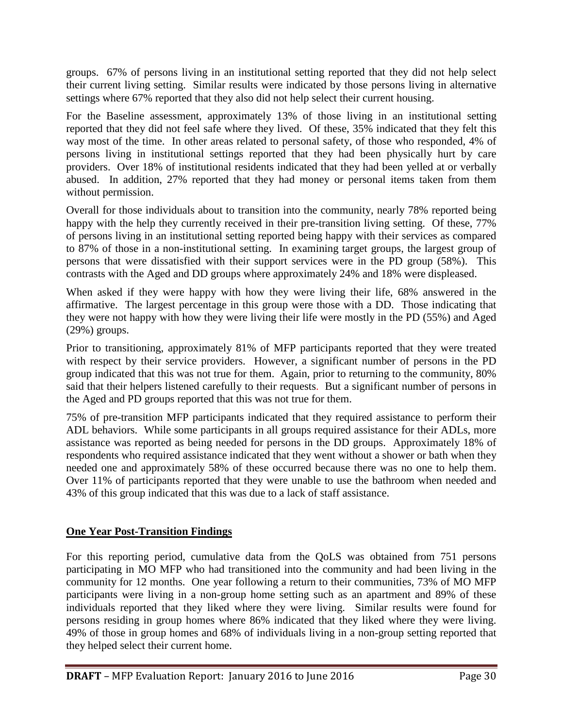groups. 67% of persons living in an institutional setting reported that they did not help select their current living setting. Similar results were indicated by those persons living in alternative settings where 67% reported that they also did not help select their current housing.

For the Baseline assessment, approximately 13% of those living in an institutional setting reported that they did not feel safe where they lived. Of these, 35% indicated that they felt this way most of the time. In other areas related to personal safety, of those who responded, 4% of persons living in institutional settings reported that they had been physically hurt by care providers. Over 18% of institutional residents indicated that they had been yelled at or verbally abused. In addition, 27% reported that they had money or personal items taken from them without permission.

Overall for those individuals about to transition into the community, nearly 78% reported being happy with the help they currently received in their pre-transition living setting. Of these, 77% of persons living in an institutional setting reported being happy with their services as compared to 87% of those in a non-institutional setting. In examining target groups, the largest group of persons that were dissatisfied with their support services were in the PD group (58%). This contrasts with the Aged and DD groups where approximately 24% and 18% were displeased.

When asked if they were happy with how they were living their life, 68% answered in the affirmative. The largest percentage in this group were those with a DD. Those indicating that they were not happy with how they were living their life were mostly in the PD (55%) and Aged (29%) groups.

Prior to transitioning, approximately 81% of MFP participants reported that they were treated with respect by their service providers. However, a significant number of persons in the PD group indicated that this was not true for them. Again, prior to returning to the community, 80% said that their helpers listened carefully to their requests. But a significant number of persons in the Aged and PD groups reported that this was not true for them.

75% of pre-transition MFP participants indicated that they required assistance to perform their ADL behaviors. While some participants in all groups required assistance for their ADLs, more assistance was reported as being needed for persons in the DD groups. Approximately 18% of respondents who required assistance indicated that they went without a shower or bath when they needed one and approximately 58% of these occurred because there was no one to help them. Over 11% of participants reported that they were unable to use the bathroom when needed and 43% of this group indicated that this was due to a lack of staff assistance.

#### **One Year Post-Transition Findings**

For this reporting period, cumulative data from the QoLS was obtained from 751 persons participating in MO MFP who had transitioned into the community and had been living in the community for 12 months. One year following a return to their communities, 73% of MO MFP participants were living in a non-group home setting such as an apartment and 89% of these individuals reported that they liked where they were living. Similar results were found for persons residing in group homes where 86% indicated that they liked where they were living. 49% of those in group homes and 68% of individuals living in a non-group setting reported that they helped select their current home.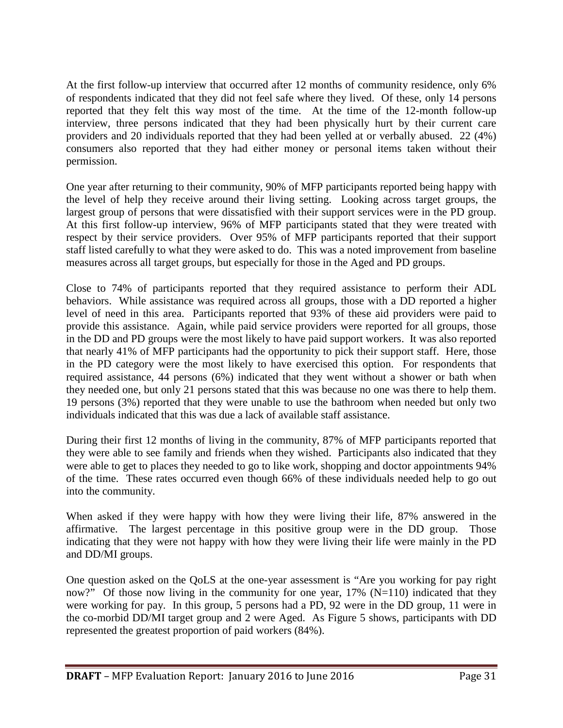At the first follow-up interview that occurred after 12 months of community residence, only 6% of respondents indicated that they did not feel safe where they lived. Of these, only 14 persons reported that they felt this way most of the time. At the time of the 12-month follow-up interview, three persons indicated that they had been physically hurt by their current care providers and 20 individuals reported that they had been yelled at or verbally abused. 22 (4%) consumers also reported that they had either money or personal items taken without their permission.

One year after returning to their community, 90% of MFP participants reported being happy with the level of help they receive around their living setting. Looking across target groups, the largest group of persons that were dissatisfied with their support services were in the PD group. At this first follow-up interview, 96% of MFP participants stated that they were treated with respect by their service providers. Over 95% of MFP participants reported that their support staff listed carefully to what they were asked to do. This was a noted improvement from baseline measures across all target groups, but especially for those in the Aged and PD groups.

Close to 74% of participants reported that they required assistance to perform their ADL behaviors. While assistance was required across all groups, those with a DD reported a higher level of need in this area. Participants reported that 93% of these aid providers were paid to provide this assistance. Again, while paid service providers were reported for all groups, those in the DD and PD groups were the most likely to have paid support workers. It was also reported that nearly 41% of MFP participants had the opportunity to pick their support staff. Here, those in the PD category were the most likely to have exercised this option. For respondents that required assistance, 44 persons (6%) indicated that they went without a shower or bath when they needed one, but only 21 persons stated that this was because no one was there to help them. 19 persons (3%) reported that they were unable to use the bathroom when needed but only two individuals indicated that this was due a lack of available staff assistance.

During their first 12 months of living in the community, 87% of MFP participants reported that they were able to see family and friends when they wished. Participants also indicated that they were able to get to places they needed to go to like work, shopping and doctor appointments 94% of the time. These rates occurred even though 66% of these individuals needed help to go out into the community.

When asked if they were happy with how they were living their life, 87% answered in the affirmative. The largest percentage in this positive group were in the DD group. Those indicating that they were not happy with how they were living their life were mainly in the PD and DD/MI groups.

One question asked on the QoLS at the one-year assessment is "Are you working for pay right now?" Of those now living in the community for one year,  $17\%$  (N=110) indicated that they were working for pay. In this group, 5 persons had a PD, 92 were in the DD group, 11 were in the co-morbid DD/MI target group and 2 were Aged. As Figure 5 shows, participants with DD represented the greatest proportion of paid workers (84%).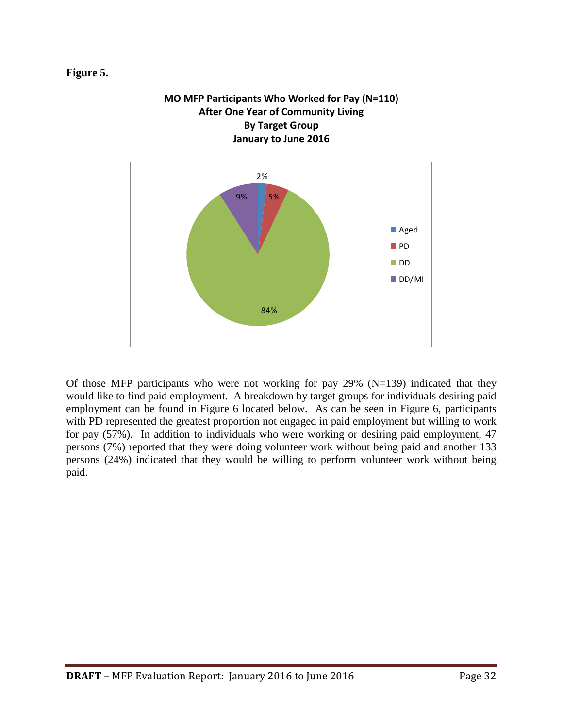#### **Figure 5.**



Of those MFP participants who were not working for pay  $29\%$  (N=139) indicated that they would like to find paid employment. A breakdown by target groups for individuals desiring paid employment can be found in Figure 6 located below. As can be seen in Figure 6, participants with PD represented the greatest proportion not engaged in paid employment but willing to work for pay (57%). In addition to individuals who were working or desiring paid employment, 47 persons (7%) reported that they were doing volunteer work without being paid and another 133 persons (24%) indicated that they would be willing to perform volunteer work without being paid.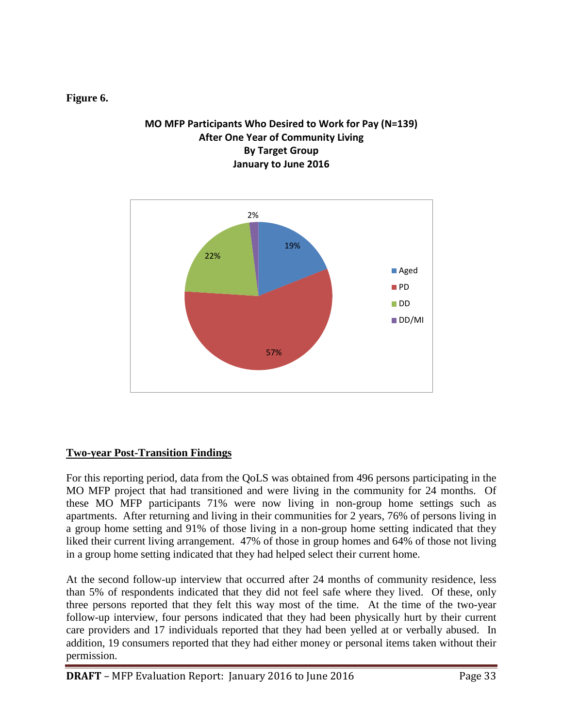#### **Figure 6.**

#### **MO MFP Participants Who Desired to Work for Pay (N=139) After One Year of Community Living By Target Group January to June 2016**



#### **Two-year Post-Transition Findings**

For this reporting period, data from the QoLS was obtained from 496 persons participating in the MO MFP project that had transitioned and were living in the community for 24 months. Of these MO MFP participants 71% were now living in non-group home settings such as apartments. After returning and living in their communities for 2 years, 76% of persons living in a group home setting and 91% of those living in a non-group home setting indicated that they liked their current living arrangement. 47% of those in group homes and 64% of those not living in a group home setting indicated that they had helped select their current home.

At the second follow-up interview that occurred after 24 months of community residence, less than 5% of respondents indicated that they did not feel safe where they lived. Of these, only three persons reported that they felt this way most of the time. At the time of the two-year follow-up interview, four persons indicated that they had been physically hurt by their current care providers and 17 individuals reported that they had been yelled at or verbally abused. In addition, 19 consumers reported that they had either money or personal items taken without their permission.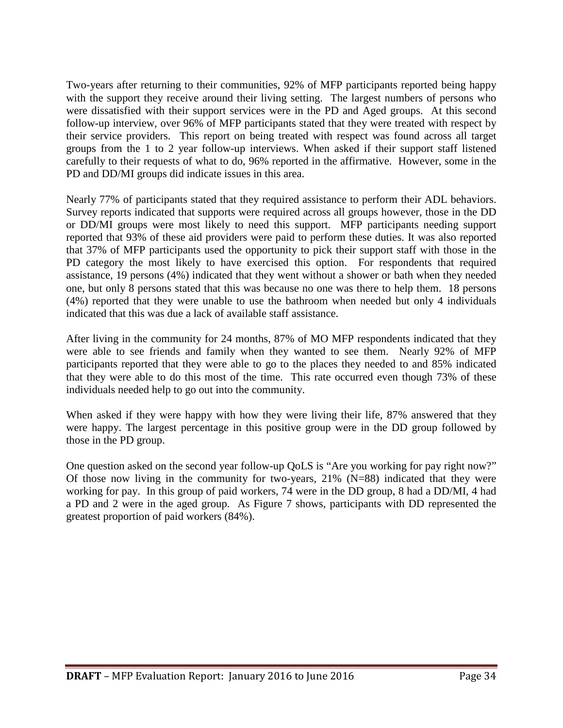Two-years after returning to their communities, 92% of MFP participants reported being happy with the support they receive around their living setting. The largest numbers of persons who were dissatisfied with their support services were in the PD and Aged groups. At this second follow-up interview, over 96% of MFP participants stated that they were treated with respect by their service providers. This report on being treated with respect was found across all target groups from the 1 to 2 year follow-up interviews. When asked if their support staff listened carefully to their requests of what to do, 96% reported in the affirmative. However, some in the PD and DD/MI groups did indicate issues in this area.

Nearly 77% of participants stated that they required assistance to perform their ADL behaviors. Survey reports indicated that supports were required across all groups however, those in the DD or DD/MI groups were most likely to need this support. MFP participants needing support reported that 93% of these aid providers were paid to perform these duties. It was also reported that 37% of MFP participants used the opportunity to pick their support staff with those in the PD category the most likely to have exercised this option. For respondents that required assistance, 19 persons (4%) indicated that they went without a shower or bath when they needed one, but only 8 persons stated that this was because no one was there to help them. 18 persons (4%) reported that they were unable to use the bathroom when needed but only 4 individuals indicated that this was due a lack of available staff assistance.

After living in the community for 24 months, 87% of MO MFP respondents indicated that they were able to see friends and family when they wanted to see them. Nearly 92% of MFP participants reported that they were able to go to the places they needed to and 85% indicated that they were able to do this most of the time. This rate occurred even though 73% of these individuals needed help to go out into the community.

When asked if they were happy with how they were living their life, 87% answered that they were happy. The largest percentage in this positive group were in the DD group followed by those in the PD group.

One question asked on the second year follow-up QoLS is "Are you working for pay right now?" Of those now living in the community for two-years,  $21\%$  (N=88) indicated that they were working for pay. In this group of paid workers, 74 were in the DD group, 8 had a DD/MI, 4 had a PD and 2 were in the aged group. As Figure 7 shows, participants with DD represented the greatest proportion of paid workers (84%).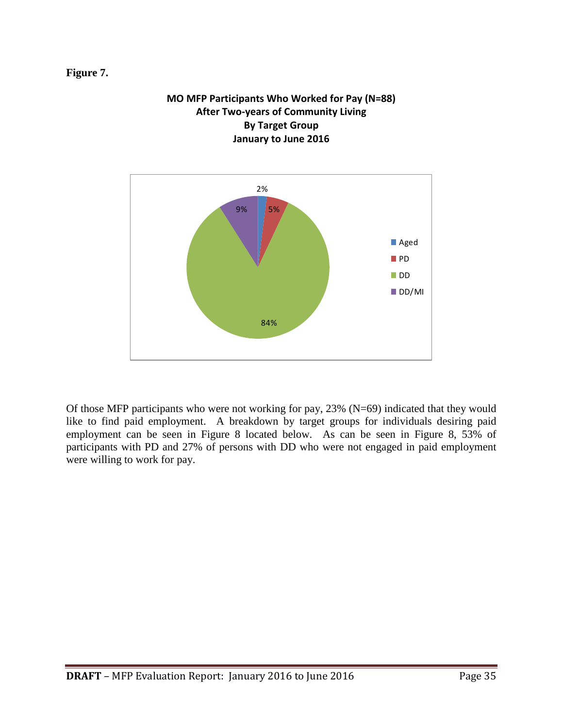#### **Figure 7.**



**MO MFP Participants Who Worked for Pay (N=88) After Two-years of Community Living**

Of those MFP participants who were not working for pay, 23% (N=69) indicated that they would like to find paid employment. A breakdown by target groups for individuals desiring paid employment can be seen in Figure 8 located below. As can be seen in Figure 8, 53% of participants with PD and 27% of persons with DD who were not engaged in paid employment were willing to work for pay.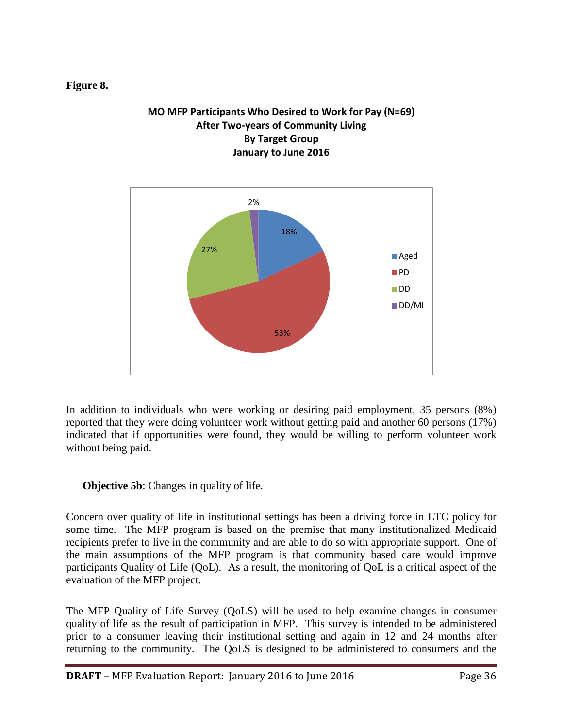#### **Figure 8.**

#### **MO MFP Participants Who Desired to Work for Pay (N=69) After Two-years of Community Living By Target Group January to June 2016**



In addition to individuals who were working or desiring paid employment, 35 persons (8%) reported that they were doing volunteer work without getting paid and another 60 persons (17%) indicated that if opportunities were found, they would be willing to perform volunteer work without being paid.

**Objective 5b:** Changes in quality of life.

Concern over quality of life in institutional settings has been a driving force in LTC policy for some time. The MFP program is based on the premise that many institutionalized Medicaid recipients prefer to live in the community and are able to do so with appropriate support. One of the main assumptions of the MFP program is that community based care would improve participants Quality of Life (QoL). As a result, the monitoring of QoL is a critical aspect of the evaluation of the MFP project.

The MFP Quality of Life Survey (QoLS) will be used to help examine changes in consumer quality of life as the result of participation in MFP. This survey is intended to be administered prior to a consumer leaving their institutional setting and again in 12 and 24 months after returning to the community. The QoLS is designed to be administered to consumers and the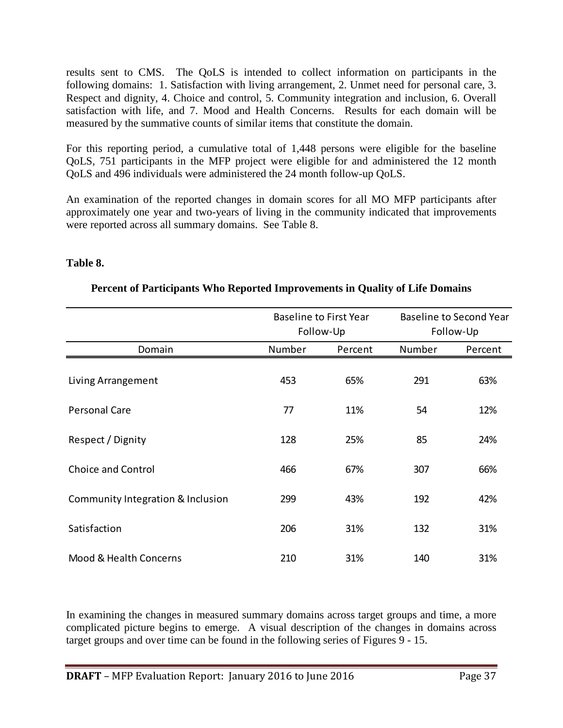results sent to CMS. The QoLS is intended to collect information on participants in the following domains: 1. Satisfaction with living arrangement, 2. Unmet need for personal care, 3. Respect and dignity, 4. Choice and control, 5. Community integration and inclusion, 6. Overall satisfaction with life, and 7. Mood and Health Concerns. Results for each domain will be measured by the summative counts of similar items that constitute the domain.

For this reporting period, a cumulative total of 1,448 persons were eligible for the baseline QoLS, 751 participants in the MFP project were eligible for and administered the 12 month QoLS and 496 individuals were administered the 24 month follow-up QoLS.

An examination of the reported changes in domain scores for all MO MFP participants after approximately one year and two-years of living in the community indicated that improvements were reported across all summary domains. See Table 8.

#### **Table 8.**

|                                   |        | <b>Baseline to First Year</b> |        | <b>Baseline to Second Year</b> |
|-----------------------------------|--------|-------------------------------|--------|--------------------------------|
|                                   |        | Follow-Up                     |        | Follow-Up                      |
| Domain                            | Number | Percent                       | Number | Percent                        |
| Living Arrangement                | 453    | 65%                           | 291    | 63%                            |
| <b>Personal Care</b>              | 77     | 11%                           | 54     | 12%                            |
| Respect / Dignity                 | 128    | 25%                           | 85     | 24%                            |
| <b>Choice and Control</b>         | 466    | 67%                           | 307    | 66%                            |
| Community Integration & Inclusion | 299    | 43%                           | 192    | 42%                            |
| Satisfaction                      | 206    | 31%                           | 132    | 31%                            |
| Mood & Health Concerns            | 210    | 31%                           | 140    | 31%                            |

#### **Percent of Participants Who Reported Improvements in Quality of Life Domains**

In examining the changes in measured summary domains across target groups and time, a more complicated picture begins to emerge. A visual description of the changes in domains across target groups and over time can be found in the following series of Figures 9 - 15.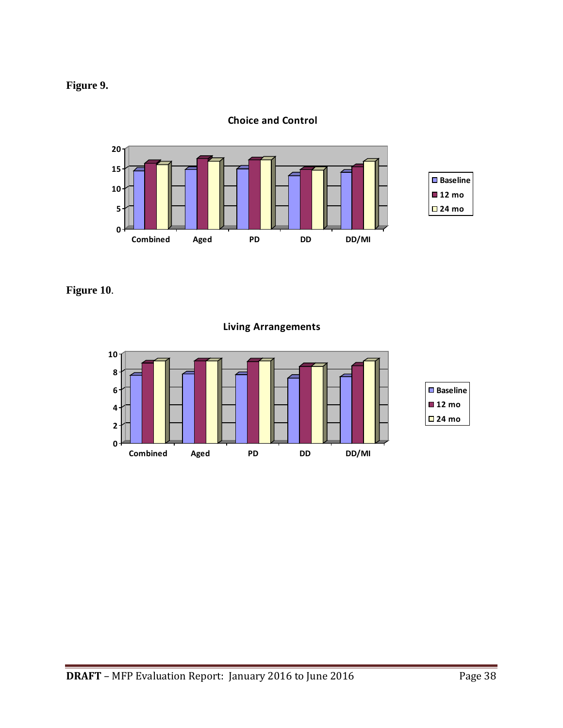



**Choice and Control**

**Figure 10**.

**Living Arrangements**

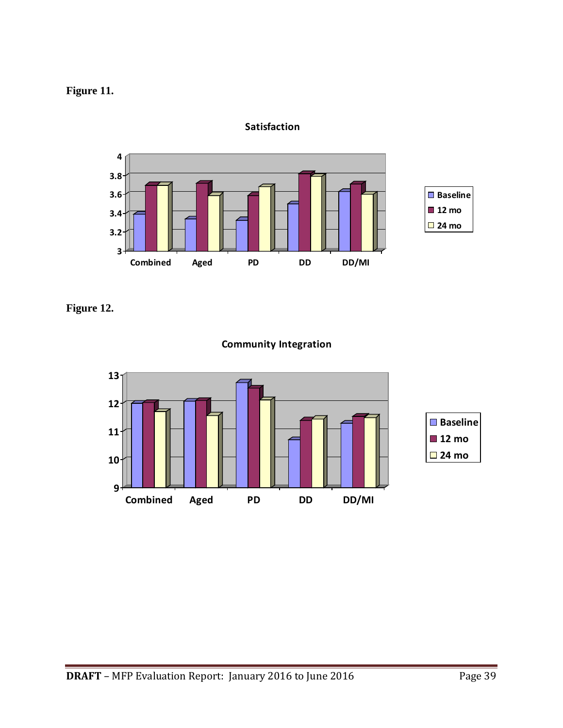### **Figure 11.**



**Satisfaction**

**Figure 12.**



### **Community Integration**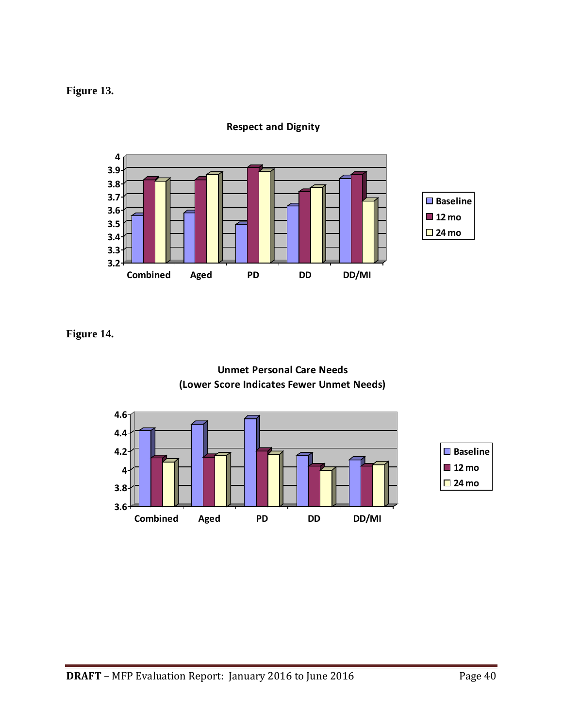### **Figure 13.**



**Respect and Dignity**

**Figure 14.**



#### **Unmet Personal Care Needs (Lower Score Indicates Fewer Unmet Needs)**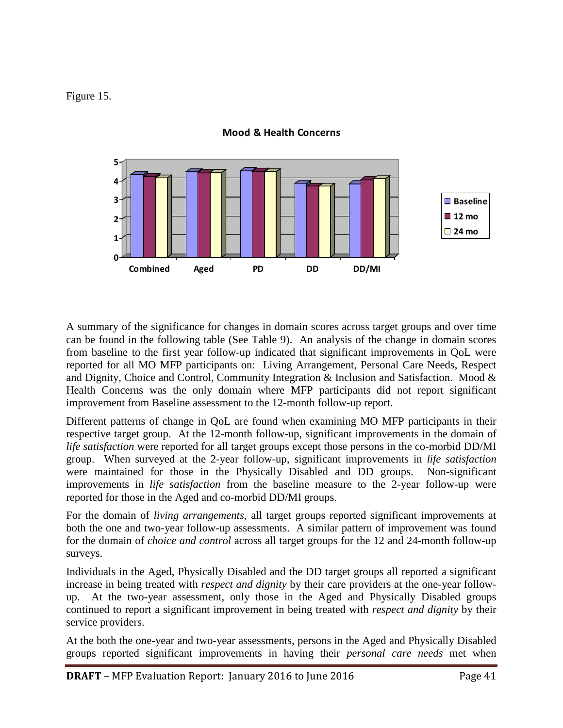#### Figure 15.



**Mood & Health Concerns**

A summary of the significance for changes in domain scores across target groups and over time can be found in the following table (See Table 9). An analysis of the change in domain scores from baseline to the first year follow-up indicated that significant improvements in QoL were reported for all MO MFP participants on: Living Arrangement, Personal Care Needs, Respect and Dignity, Choice and Control, Community Integration & Inclusion and Satisfaction. Mood  $\&$ Health Concerns was the only domain where MFP participants did not report significant improvement from Baseline assessment to the 12-month follow-up report.

Different patterns of change in QoL are found when examining MO MFP participants in their respective target group. At the 12-month follow-up, significant improvements in the domain of *life satisfaction* were reported for all target groups except those persons in the co-morbid DD/MI group. When surveyed at the 2-year follow-up, significant improvements in *life satisfaction* were maintained for those in the Physically Disabled and DD groups. Non-significant improvements in *life satisfaction* from the baseline measure to the 2-year follow-up were reported for those in the Aged and co-morbid DD/MI groups.

For the domain of *living arrangements*, all target groups reported significant improvements at both the one and two-year follow-up assessments. A similar pattern of improvement was found for the domain of *choice and control* across all target groups for the 12 and 24-month follow-up surveys.

Individuals in the Aged, Physically Disabled and the DD target groups all reported a significant increase in being treated with *respect and dignity* by their care providers at the one-year followup. At the two-year assessment, only those in the Aged and Physically Disabled groups continued to report a significant improvement in being treated with *respect and dignity* by their service providers.

At the both the one-year and two-year assessments, persons in the Aged and Physically Disabled groups reported significant improvements in having their *personal care needs* met when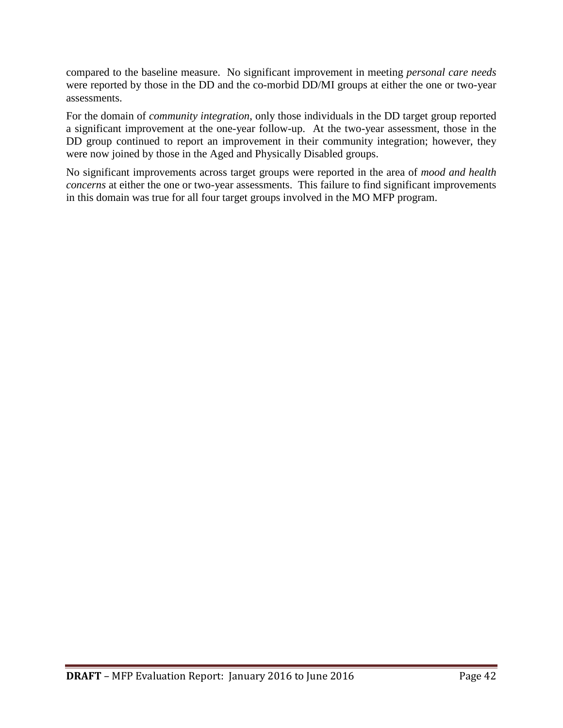compared to the baseline measure. No significant improvement in meeting *personal care needs*  were reported by those in the DD and the co-morbid DD/MI groups at either the one or two-year assessments.

For the domain of *community integration*, only those individuals in the DD target group reported a significant improvement at the one-year follow-up. At the two-year assessment, those in the DD group continued to report an improvement in their community integration; however, they were now joined by those in the Aged and Physically Disabled groups.

No significant improvements across target groups were reported in the area of *mood and health concerns* at either the one or two-year assessments. This failure to find significant improvements in this domain was true for all four target groups involved in the MO MFP program.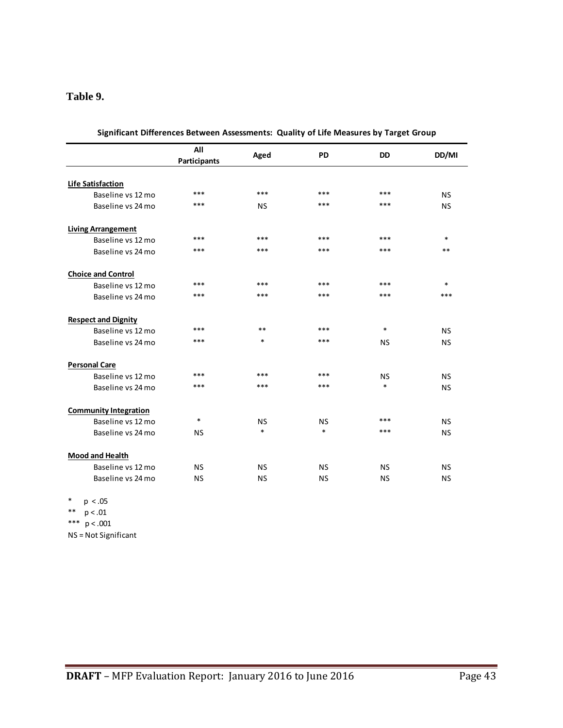#### **Table 9.**

|                              | All<br>Participants | Aged      | <b>PD</b> | <b>DD</b> | DD/MI     |
|------------------------------|---------------------|-----------|-----------|-----------|-----------|
|                              |                     |           |           |           |           |
| <b>Life Satisfaction</b>     | ***                 | ***       | ***       | ***       |           |
| Baseline vs 12 mo            |                     |           |           |           | <b>NS</b> |
| Baseline vs 24 mo            | ***                 | <b>NS</b> | ***       | ***       | <b>NS</b> |
| <b>Living Arrangement</b>    |                     |           |           |           |           |
| Baseline vs 12 mo            | ***                 | ***       | ***       | $***$     | $\ast$    |
| Baseline vs 24 mo            | ***                 | ***       | ***       | ***       | $**$      |
| <b>Choice and Control</b>    |                     |           |           |           |           |
| Baseline vs 12 mo            | ***                 | ***       | ***       | ***       | $\ast$    |
| Baseline vs 24 mo            | ***                 | ***       | $***$     | ***       | ***       |
| <b>Respect and Dignity</b>   |                     |           |           |           |           |
| Baseline vs 12 mo            | ***                 | $**$      | ***       | $\ast$    | <b>NS</b> |
| Baseline vs 24 mo            | ***                 | $\ast$    | $***$     | <b>NS</b> | <b>NS</b> |
| <b>Personal Care</b>         |                     |           |           |           |           |
| Baseline vs 12 mo            | ***                 | ***       | ***       | <b>NS</b> | <b>NS</b> |
| Baseline vs 24 mo            | ***                 | ***       | ***       | $\ast$    | <b>NS</b> |
| <b>Community Integration</b> |                     |           |           |           |           |
| Baseline vs 12 mo            | $\ast$              | <b>NS</b> | <b>NS</b> | ***       | <b>NS</b> |
| Baseline vs 24 mo            | <b>NS</b>           | $\ast$    | $\ast$    | ***       | <b>NS</b> |
| <b>Mood and Health</b>       |                     |           |           |           |           |
| Baseline vs 12 mo            | <b>NS</b>           | <b>NS</b> | <b>NS</b> | <b>NS</b> | <b>NS</b> |
| Baseline vs 24 mo            | <b>NS</b>           | <b>NS</b> | <b>NS</b> | <b>NS</b> | <b>NS</b> |

| Significant Differences Between Assessments: Quality of Life Measures by Target Group |  |  |  |
|---------------------------------------------------------------------------------------|--|--|--|
|                                                                                       |  |  |  |

 $*$  p < .05

\*\* p < .01

\*\*\*  $p < .001$ 

NS = Not Significant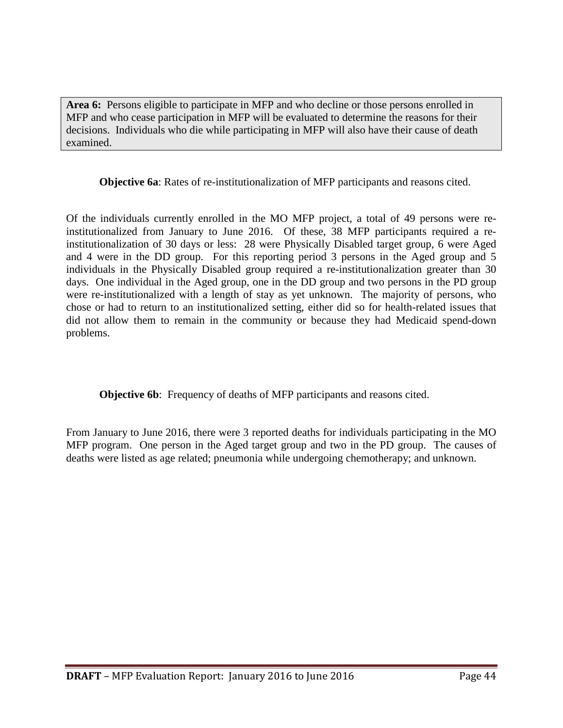**Area 6:** Persons eligible to participate in MFP and who decline or those persons enrolled in MFP and who cease participation in MFP will be evaluated to determine the reasons for their decisions. Individuals who die while participating in MFP will also have their cause of death examined.

**Objective 6a**: Rates of re-institutionalization of MFP participants and reasons cited.

Of the individuals currently enrolled in the MO MFP project, a total of 49 persons were reinstitutionalized from January to June 2016. Of these, 38 MFP participants required a reinstitutionalization of 30 days or less: 28 were Physically Disabled target group, 6 were Aged and 4 were in the DD group. For this reporting period 3 persons in the Aged group and 5 individuals in the Physically Disabled group required a re-institutionalization greater than 30 days. One individual in the Aged group, one in the DD group and two persons in the PD group were re-institutionalized with a length of stay as yet unknown. The majority of persons, who chose or had to return to an institutionalized setting, either did so for health-related issues that did not allow them to remain in the community or because they had Medicaid spend-down problems.

**Objective 6b**: Frequency of deaths of MFP participants and reasons cited.

From January to June 2016, there were 3 reported deaths for individuals participating in the MO MFP program. One person in the Aged target group and two in the PD group. The causes of deaths were listed as age related; pneumonia while undergoing chemotherapy; and unknown.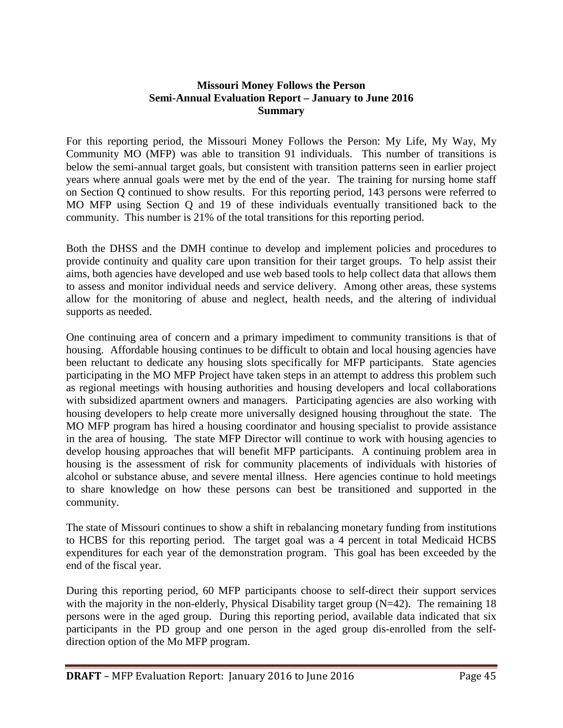#### **Missouri Money Follows the Person Semi-Annual Evaluation Report – January to June 2016 Summary**

For this reporting period, the Missouri Money Follows the Person: My Life, My Way, My Community MO (MFP) was able to transition 91 individuals. This number of transitions is below the semi-annual target goals, but consistent with transition patterns seen in earlier project years where annual goals were met by the end of the year. The training for nursing home staff on Section Q continued to show results. For this reporting period, 143 persons were referred to MO MFP using Section Q and 19 of these individuals eventually transitioned back to the community. This number is 21% of the total transitions for this reporting period.

Both the DHSS and the DMH continue to develop and implement policies and procedures to provide continuity and quality care upon transition for their target groups. To help assist their aims, both agencies have developed and use web based tools to help collect data that allows them to assess and monitor individual needs and service delivery. Among other areas, these systems allow for the monitoring of abuse and neglect, health needs, and the altering of individual supports as needed.

One continuing area of concern and a primary impediment to community transitions is that of housing. Affordable housing continues to be difficult to obtain and local housing agencies have been reluctant to dedicate any housing slots specifically for MFP participants. State agencies participating in the MO MFP Project have taken steps in an attempt to address this problem such as regional meetings with housing authorities and housing developers and local collaborations with subsidized apartment owners and managers. Participating agencies are also working with housing developers to help create more universally designed housing throughout the state. The MO MFP program has hired a housing coordinator and housing specialist to provide assistance in the area of housing. The state MFP Director will continue to work with housing agencies to develop housing approaches that will benefit MFP participants. A continuing problem area in housing is the assessment of risk for community placements of individuals with histories of alcohol or substance abuse, and severe mental illness. Here agencies continue to hold meetings to share knowledge on how these persons can best be transitioned and supported in the community.

The state of Missouri continues to show a shift in rebalancing monetary funding from institutions to HCBS for this reporting period. The target goal was a 4 percent in total Medicaid HCBS expenditures for each year of the demonstration program. This goal has been exceeded by the end of the fiscal year.

During this reporting period, 60 MFP participants choose to self-direct their support services with the majority in the non-elderly, Physical Disability target group (N=42). The remaining 18 persons were in the aged group. During this reporting period, available data indicated that six participants in the PD group and one person in the aged group dis-enrolled from the selfdirection option of the Mo MFP program.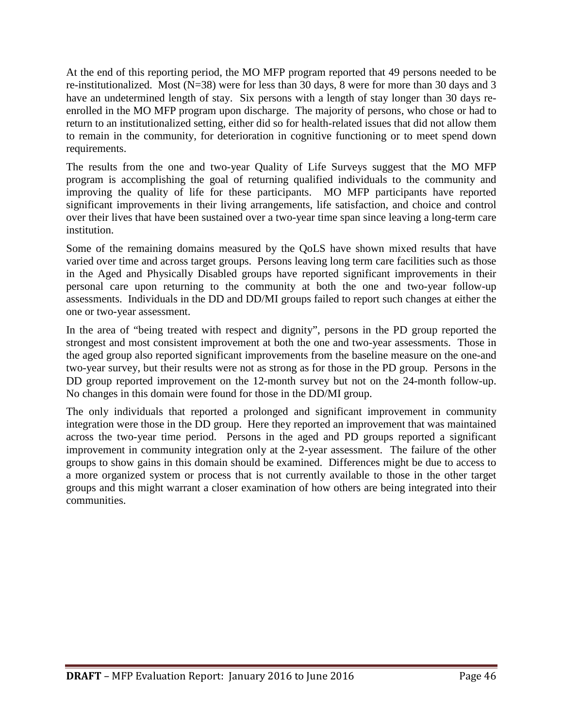At the end of this reporting period, the MO MFP program reported that 49 persons needed to be re-institutionalized. Most (N=38) were for less than 30 days, 8 were for more than 30 days and 3 have an undetermined length of stay. Six persons with a length of stay longer than 30 days reenrolled in the MO MFP program upon discharge. The majority of persons, who chose or had to return to an institutionalized setting, either did so for health-related issues that did not allow them to remain in the community, for deterioration in cognitive functioning or to meet spend down requirements.

The results from the one and two-year Quality of Life Surveys suggest that the MO MFP program is accomplishing the goal of returning qualified individuals to the community and improving the quality of life for these participants. MO MFP participants have reported significant improvements in their living arrangements, life satisfaction, and choice and control over their lives that have been sustained over a two-year time span since leaving a long-term care institution.

Some of the remaining domains measured by the QoLS have shown mixed results that have varied over time and across target groups. Persons leaving long term care facilities such as those in the Aged and Physically Disabled groups have reported significant improvements in their personal care upon returning to the community at both the one and two-year follow-up assessments. Individuals in the DD and DD/MI groups failed to report such changes at either the one or two-year assessment.

In the area of "being treated with respect and dignity", persons in the PD group reported the strongest and most consistent improvement at both the one and two-year assessments. Those in the aged group also reported significant improvements from the baseline measure on the one-and two-year survey, but their results were not as strong as for those in the PD group. Persons in the DD group reported improvement on the 12-month survey but not on the 24-month follow-up. No changes in this domain were found for those in the DD/MI group.

The only individuals that reported a prolonged and significant improvement in community integration were those in the DD group. Here they reported an improvement that was maintained across the two-year time period. Persons in the aged and PD groups reported a significant improvement in community integration only at the 2-year assessment. The failure of the other groups to show gains in this domain should be examined. Differences might be due to access to a more organized system or process that is not currently available to those in the other target groups and this might warrant a closer examination of how others are being integrated into their communities.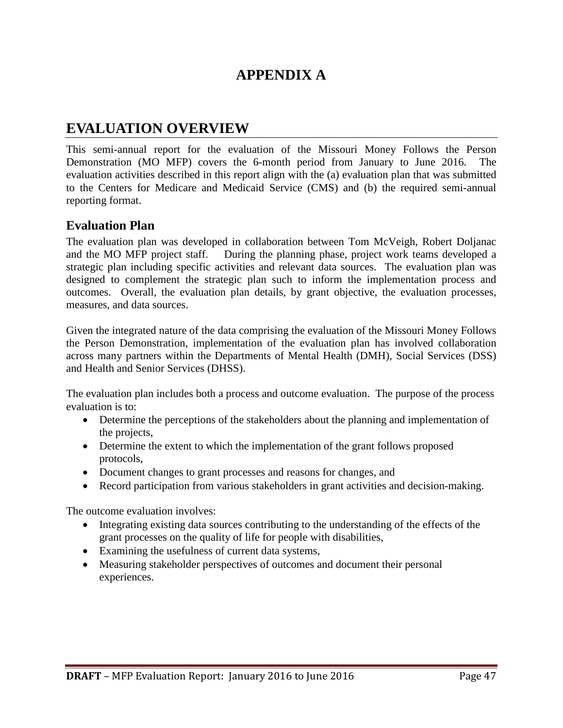# **APPENDIX A**

# **EVALUATION OVERVIEW**

This semi-annual report for the evaluation of the Missouri Money Follows the Person Demonstration (MO MFP) covers the 6-month period from January to June 2016. The evaluation activities described in this report align with the (a) evaluation plan that was submitted to the Centers for Medicare and Medicaid Service (CMS) and (b) the required semi-annual reporting format.

#### **Evaluation Plan**

The evaluation plan was developed in collaboration between Tom McVeigh, Robert Doljanac and the MO MFP project staff. During the planning phase, project work teams developed a strategic plan including specific activities and relevant data sources. The evaluation plan was designed to complement the strategic plan such to inform the implementation process and outcomes. Overall, the evaluation plan details, by grant objective, the evaluation processes, measures, and data sources.

Given the integrated nature of the data comprising the evaluation of the Missouri Money Follows the Person Demonstration, implementation of the evaluation plan has involved collaboration across many partners within the Departments of Mental Health (DMH), Social Services (DSS) and Health and Senior Services (DHSS).

The evaluation plan includes both a process and outcome evaluation. The purpose of the process evaluation is to:

- Determine the perceptions of the stakeholders about the planning and implementation of the projects,
- Determine the extent to which the implementation of the grant follows proposed protocols,
- Document changes to grant processes and reasons for changes, and
- Record participation from various stakeholders in grant activities and decision-making.

The outcome evaluation involves:

- Integrating existing data sources contributing to the understanding of the effects of the grant processes on the quality of life for people with disabilities,
- Examining the usefulness of current data systems,
- Measuring stakeholder perspectives of outcomes and document their personal experiences.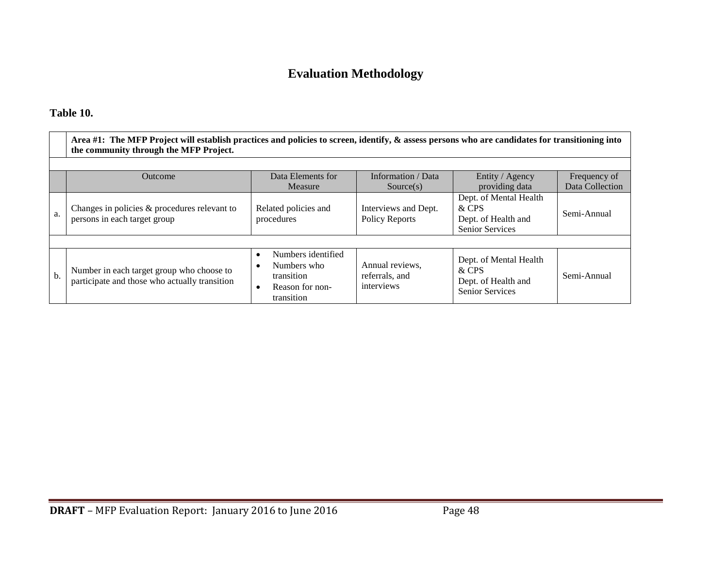# **Evaluation Methodology**

### **Table 10.**

|     | Area #1: The MFP Project will establish practices and policies to screen, identify, $\&$ assess persons who are candidates for transitioning into<br>the community through the MFP Project. |                                                                                               |                                                            |                                                                                                    |                                |  |  |  |  |  |
|-----|---------------------------------------------------------------------------------------------------------------------------------------------------------------------------------------------|-----------------------------------------------------------------------------------------------|------------------------------------------------------------|----------------------------------------------------------------------------------------------------|--------------------------------|--|--|--|--|--|
|     | Data Elements for<br>Information / Data<br>Entity / Agency<br>Outcome<br>Frequency of                                                                                                       |                                                                                               |                                                            |                                                                                                    |                                |  |  |  |  |  |
| a.  | Changes in policies & procedures relevant to<br>persons in each target group                                                                                                                | Measure<br>Related policies and<br>procedures                                                 | Source(s)<br>Interviews and Dept.<br><b>Policy Reports</b> | providing data<br>Dept. of Mental Health<br>& CPS<br>Dept. of Health and<br><b>Senior Services</b> | Data Collection<br>Semi-Annual |  |  |  |  |  |
|     |                                                                                                                                                                                             |                                                                                               |                                                            |                                                                                                    |                                |  |  |  |  |  |
| $b$ | Number in each target group who choose to<br>participate and those who actually transition                                                                                                  | Numbers identified<br>$\bullet$<br>Numbers who<br>transition<br>Reason for non-<br>transition | Annual reviews,<br>referrals, and<br>interviews            | Dept. of Mental Health<br>& CPS<br>Dept. of Health and<br><b>Senior Services</b>                   | Semi-Annual                    |  |  |  |  |  |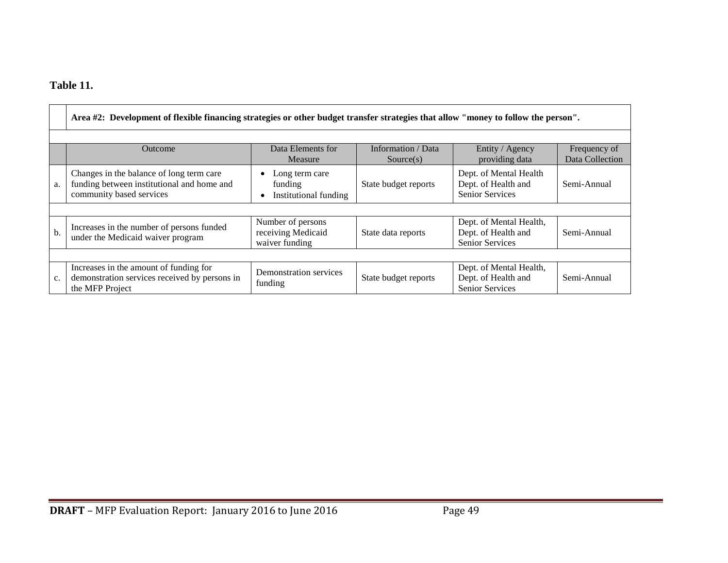### **Table 11.**

|     | Area #2: Development of flexible financing strategies or other budget transfer strategies that allow "money to follow the person". |                                                           |                                 |                                                                          |                                 |  |  |  |  |
|-----|------------------------------------------------------------------------------------------------------------------------------------|-----------------------------------------------------------|---------------------------------|--------------------------------------------------------------------------|---------------------------------|--|--|--|--|
|     | <b>Outcome</b>                                                                                                                     | Data Elements for<br>Measure                              | Information / Data<br>Source(s) | Entity / Agency<br>providing data                                        | Frequency of<br>Data Collection |  |  |  |  |
| a.  | Changes in the balance of long term care<br>funding between institutional and home and<br>community based services                 | Long term care<br>funding<br>Institutional funding        | State budget reports            | Dept. of Mental Health<br>Dept. of Health and<br>Senior Services         | Semi-Annual                     |  |  |  |  |
|     |                                                                                                                                    |                                                           |                                 |                                                                          |                                 |  |  |  |  |
| $b$ | Increases in the number of persons funded<br>under the Medicaid waiver program                                                     | Number of persons<br>receiving Medicaid<br>waiver funding | State data reports              | Dept. of Mental Health,<br>Dept. of Health and<br>Senior Services        | Semi-Annual                     |  |  |  |  |
|     |                                                                                                                                    |                                                           |                                 |                                                                          |                                 |  |  |  |  |
| c.  | Increases in the amount of funding for<br>demonstration services received by persons in<br>the MFP Project                         | Demonstration services<br>funding                         | State budget reports            | Dept. of Mental Health,<br>Dept. of Health and<br><b>Senior Services</b> | Semi-Annual                     |  |  |  |  |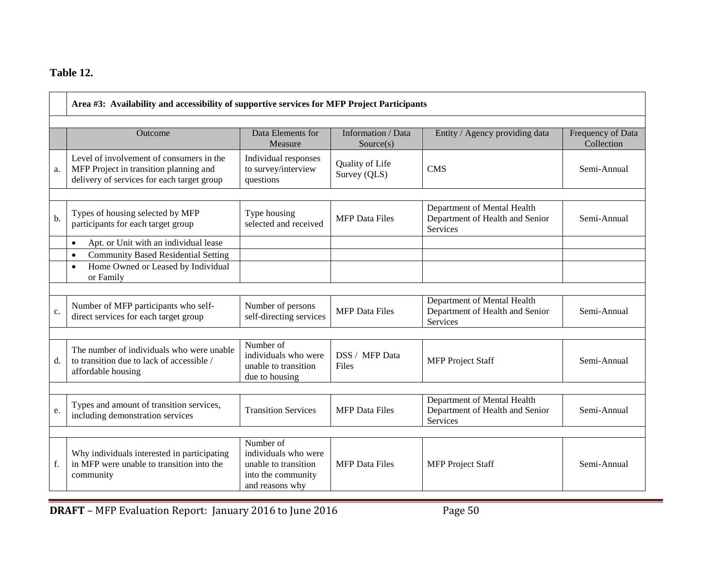### **Table 12.**

|    | Area #3: Availability and accessibility of supportive services for MFP Project Participants                                                            |                                                                                                    |                                 |                                                                            |             |  |  |  |
|----|--------------------------------------------------------------------------------------------------------------------------------------------------------|----------------------------------------------------------------------------------------------------|---------------------------------|----------------------------------------------------------------------------|-------------|--|--|--|
|    | Data Elements for<br>Information / Data<br>Entity / Agency providing data<br>Frequency of Data<br><b>Outcome</b><br>Collection<br>Measure<br>Source(s) |                                                                                                    |                                 |                                                                            |             |  |  |  |
| a. | Level of involvement of consumers in the<br>MFP Project in transition planning and<br>delivery of services for each target group                       | Individual responses<br>to survey/interview<br>questions                                           | Quality of Life<br>Survey (QLS) | <b>CMS</b>                                                                 | Semi-Annual |  |  |  |
| b. | Types of housing selected by MFP<br>participants for each target group                                                                                 | Type housing<br>selected and received                                                              | <b>MFP</b> Data Files           | Department of Mental Health<br>Department of Health and Senior<br>Services | Semi-Annual |  |  |  |
|    | Apt. or Unit with an individual lease<br>$\bullet$                                                                                                     |                                                                                                    |                                 |                                                                            |             |  |  |  |
|    | <b>Community Based Residential Setting</b><br>$\bullet$<br>Home Owned or Leased by Individual<br>$\bullet$<br>or Family                                |                                                                                                    |                                 |                                                                            |             |  |  |  |
| c. | Number of MFP participants who self-<br>direct services for each target group                                                                          | Number of persons<br>self-directing services                                                       | <b>MFP</b> Data Files           | Department of Mental Health<br>Department of Health and Senior<br>Services | Semi-Annual |  |  |  |
|    |                                                                                                                                                        |                                                                                                    |                                 |                                                                            |             |  |  |  |
| d. | The number of individuals who were unable<br>to transition due to lack of accessible /<br>affordable housing                                           | Number of<br>individuals who were<br>unable to transition<br>due to housing                        | DSS / MFP Data<br>Files         | <b>MFP</b> Project Staff                                                   | Semi-Annual |  |  |  |
|    |                                                                                                                                                        |                                                                                                    |                                 |                                                                            |             |  |  |  |
| e. | Types and amount of transition services,<br>including demonstration services                                                                           | <b>Transition Services</b>                                                                         | <b>MFP</b> Data Files           | Department of Mental Health<br>Department of Health and Senior<br>Services | Semi-Annual |  |  |  |
|    |                                                                                                                                                        |                                                                                                    |                                 |                                                                            |             |  |  |  |
| f. | Why individuals interested in participating<br>in MFP were unable to transition into the<br>community                                                  | Number of<br>individuals who were<br>unable to transition<br>into the community<br>and reasons why | <b>MFP</b> Data Files           | <b>MFP</b> Project Staff                                                   | Semi-Annual |  |  |  |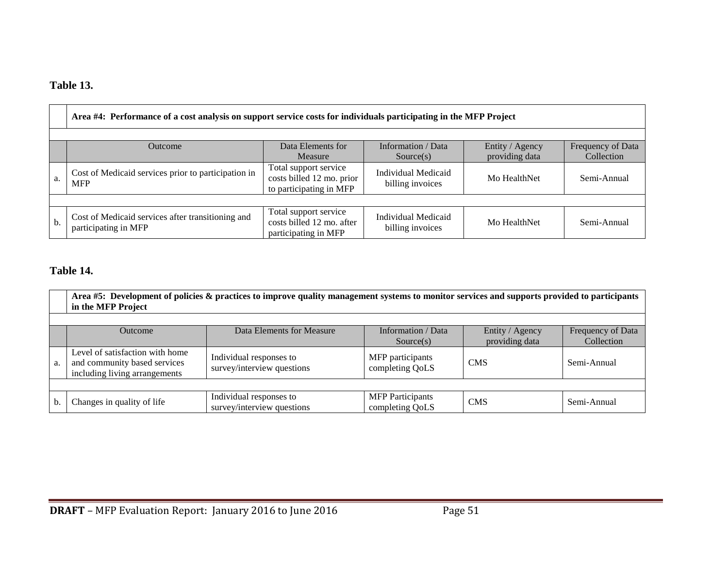### **Table 13.**

|    | Area #4: Performance of a cost analysis on support service costs for individuals participating in the MFP Project                                         |                                                                               |                                                |              |             |  |  |  |  |  |
|----|-----------------------------------------------------------------------------------------------------------------------------------------------------------|-------------------------------------------------------------------------------|------------------------------------------------|--------------|-------------|--|--|--|--|--|
|    | Data Elements for<br>Information / Data<br>Entity / Agency<br>Frequency of Data<br><b>Outcome</b><br>providing data<br>Collection<br>Measure<br>Source(s) |                                                                               |                                                |              |             |  |  |  |  |  |
| a. | Cost of Medicaid services prior to participation in<br><b>MFP</b>                                                                                         | Total support service<br>costs billed 12 mo. prior<br>to participating in MFP | <b>Individual Medicaid</b><br>billing invoices | Mo HealthNet | Semi-Annual |  |  |  |  |  |
|    |                                                                                                                                                           |                                                                               |                                                |              |             |  |  |  |  |  |
| b. | Cost of Medicaid services after transitioning and<br>participating in MFP                                                                                 | Total support service<br>costs billed 12 mo. after<br>participating in MFP    | Individual Medicaid<br>billing invoices        | Mo HealthNet | Semi-Annual |  |  |  |  |  |

### **Table 14.**

|    | Area #5: Development of policies & practices to improve quality management systems to monitor services and supports provided to participants<br>in the MFP Project |                                                       |                                            |            |             |  |  |  |  |  |
|----|--------------------------------------------------------------------------------------------------------------------------------------------------------------------|-------------------------------------------------------|--------------------------------------------|------------|-------------|--|--|--|--|--|
|    | Data Elements for Measure<br>Information / Data<br>Entity / Agency<br>Frequency of Data<br><b>Outcome</b><br>providing data<br>Collection<br>Source(s)             |                                                       |                                            |            |             |  |  |  |  |  |
| a. | Level of satisfaction with home<br>and community based services<br>including living arrangements                                                                   | Individual responses to<br>survey/interview questions | MFP participants<br>completing QoLS        | <b>CMS</b> | Semi-Annual |  |  |  |  |  |
|    |                                                                                                                                                                    |                                                       |                                            |            |             |  |  |  |  |  |
|    | Changes in quality of life                                                                                                                                         | Individual responses to<br>survey/interview questions | <b>MFP</b> Participants<br>completing QoLS | <b>CMS</b> | Semi-Annual |  |  |  |  |  |